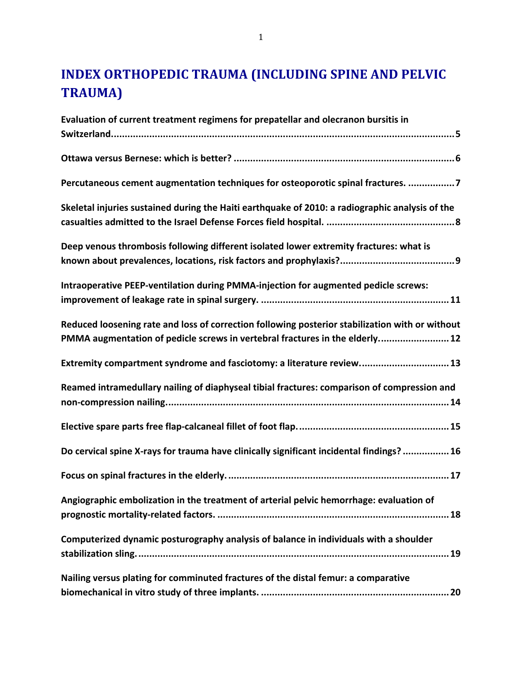# **INDEX ORTHOPEDIC TRAUMA (INCLUDING SPINE AND PELVIC TRAUMA)**

| Evaluation of current treatment regimens for prepatellar and olecranon bursitis in              |
|-------------------------------------------------------------------------------------------------|
|                                                                                                 |
|                                                                                                 |
|                                                                                                 |
| Percutaneous cement augmentation techniques for osteoporotic spinal fractures. 7                |
| Skeletal injuries sustained during the Haiti earthquake of 2010: a radiographic analysis of the |
|                                                                                                 |
| Deep venous thrombosis following different isolated lower extremity fractures: what is          |
|                                                                                                 |
|                                                                                                 |
| Intraoperative PEEP-ventilation during PMMA-injection for augmented pedicle screws:             |
|                                                                                                 |
|                                                                                                 |
| Reduced loosening rate and loss of correction following posterior stabilization with or without |
| PMMA augmentation of pedicle screws in vertebral fractures in the elderly 12                    |
| Extremity compartment syndrome and fasciotomy: a literature review 13                           |
| Reamed intramedullary nailing of diaphyseal tibial fractures: comparison of compression and     |
|                                                                                                 |
|                                                                                                 |
|                                                                                                 |
| Do cervical spine X-rays for trauma have clinically significant incidental findings?  16        |
|                                                                                                 |
|                                                                                                 |
| Angiographic embolization in the treatment of arterial pelvic hemorrhage: evaluation of         |
|                                                                                                 |
| Computerized dynamic posturography analysis of balance in individuals with a shoulder           |
|                                                                                                 |
|                                                                                                 |
| Nailing versus plating for comminuted fractures of the distal femur: a comparative              |
|                                                                                                 |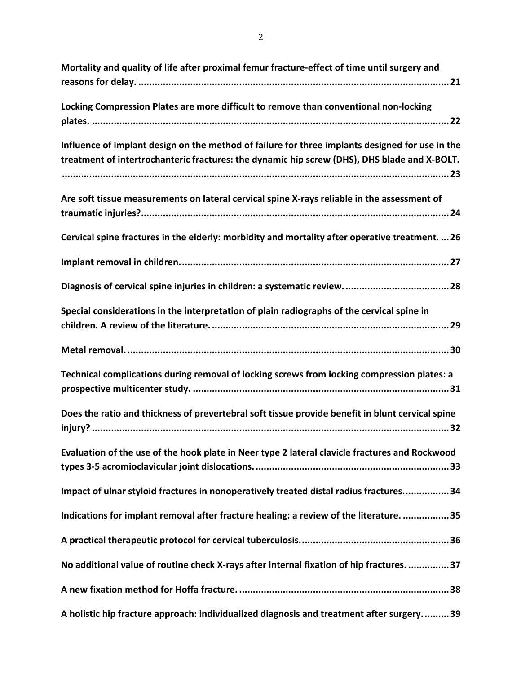| Mortality and quality of life after proximal femur fracture-effect of time until surgery and                                                                                                    |
|-------------------------------------------------------------------------------------------------------------------------------------------------------------------------------------------------|
| Locking Compression Plates are more difficult to remove than conventional non-locking                                                                                                           |
| Influence of implant design on the method of failure for three implants designed for use in the<br>treatment of intertrochanteric fractures: the dynamic hip screw (DHS), DHS blade and X-BOLT. |
| Are soft tissue measurements on lateral cervical spine X-rays reliable in the assessment of                                                                                                     |
| Cervical spine fractures in the elderly: morbidity and mortality after operative treatment.  26                                                                                                 |
|                                                                                                                                                                                                 |
|                                                                                                                                                                                                 |
| Special considerations in the interpretation of plain radiographs of the cervical spine in                                                                                                      |
|                                                                                                                                                                                                 |
| Technical complications during removal of locking screws from locking compression plates: a                                                                                                     |
| Does the ratio and thickness of prevertebral soft tissue provide benefit in blunt cervical spine                                                                                                |
| Evaluation of the use of the hook plate in Neer type 2 lateral clavicle fractures and Rockwood                                                                                                  |
| Impact of ulnar styloid fractures in nonoperatively treated distal radius fractures 34                                                                                                          |
| Indications for implant removal after fracture healing: a review of the literature.  35                                                                                                         |
|                                                                                                                                                                                                 |
| No additional value of routine check X-rays after internal fixation of hip fractures.  37                                                                                                       |
|                                                                                                                                                                                                 |
| A holistic hip fracture approach: individualized diagnosis and treatment after surgery 39                                                                                                       |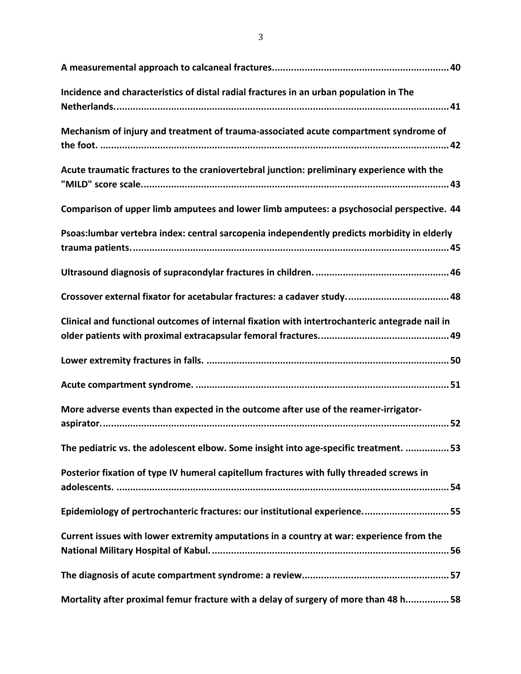| Incidence and characteristics of distal radial fractures in an urban population in The         |
|------------------------------------------------------------------------------------------------|
| Mechanism of injury and treatment of trauma-associated acute compartment syndrome of           |
| Acute traumatic fractures to the craniovertebral junction: preliminary experience with the     |
| Comparison of upper limb amputees and lower limb amputees: a psychosocial perspective. 44      |
| Psoas: lumbar vertebra index: central sarcopenia independently predicts morbidity in elderly   |
|                                                                                                |
|                                                                                                |
| Clinical and functional outcomes of internal fixation with intertrochanteric antegrade nail in |
|                                                                                                |
|                                                                                                |
| More adverse events than expected in the outcome after use of the reamer-irrigator-            |
| The pediatric vs. the adolescent elbow. Some insight into age-specific treatment.  53          |
| Posterior fixation of type IV humeral capitellum fractures with fully threaded screws in       |
| Epidemiology of pertrochanteric fractures: our institutional experience55                      |
| Current issues with lower extremity amputations in a country at war: experience from the       |
|                                                                                                |
| Mortality after proximal femur fracture with a delay of surgery of more than 48 h58            |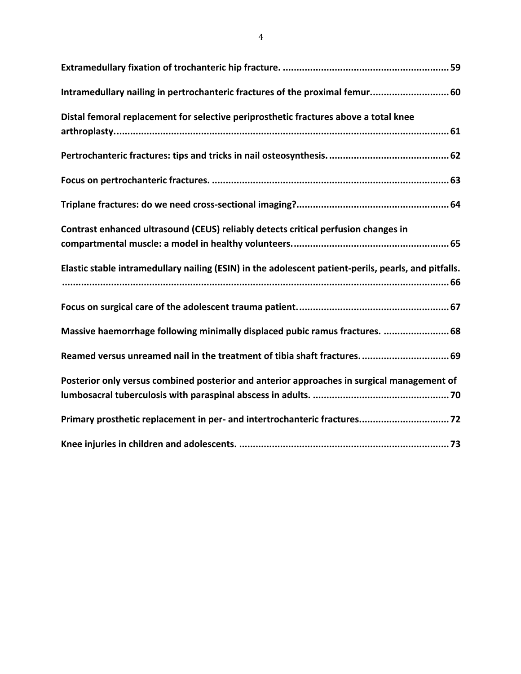| Intramedullary nailing in pertrochanteric fractures of the proximal femur 60                         |
|------------------------------------------------------------------------------------------------------|
| Distal femoral replacement for selective periprosthetic fractures above a total knee                 |
|                                                                                                      |
|                                                                                                      |
|                                                                                                      |
| Contrast enhanced ultrasound (CEUS) reliably detects critical perfusion changes in                   |
| Elastic stable intramedullary nailing (ESIN) in the adolescent patient-perils, pearls, and pitfalls. |
|                                                                                                      |
| Massive haemorrhage following minimally displaced pubic ramus fractures.  68                         |
| Reamed versus unreamed nail in the treatment of tibia shaft fractures.  69                           |
| Posterior only versus combined posterior and anterior approaches in surgical management of           |
|                                                                                                      |
|                                                                                                      |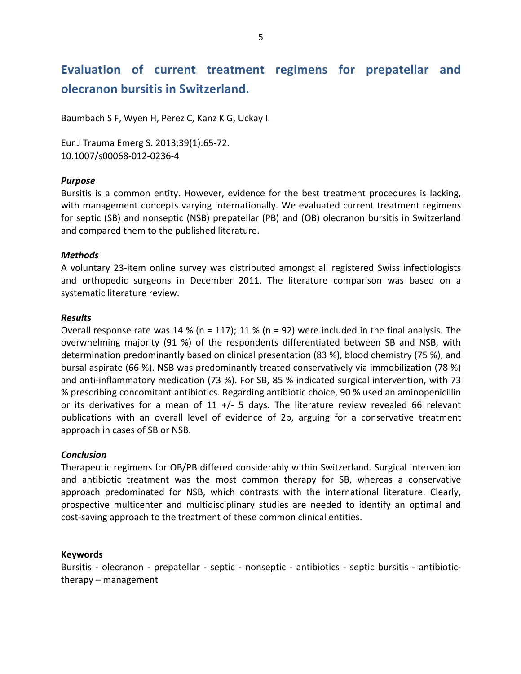## Evaluation of current treatment regimens for prepatellar and **olecranon bursitis in Switzerland.**

Baumbach S F, Wyen H, Perez C, Kanz K G, Uckay I.

Eur J Trauma Emerg S. 2013;39(1):65-72. 10.1007/s00068-012-0236-4

## *Purpose*

Bursitis is a common entity. However, evidence for the best treatment procedures is lacking, with management concepts varying internationally. We evaluated current treatment regimens for septic (SB) and nonseptic (NSB) prepatellar (PB) and (OB) olecranon bursitis in Switzerland and compared them to the published literature.

## *Methods*

A voluntary 23-item online survey was distributed amongst all registered Swiss infectiologists and orthopedic surgeons in December 2011. The literature comparison was based on a systematic literature review.

### *Results*

Overall response rate was 14 % (n = 117); 11 % (n = 92) were included in the final analysis. The overwhelming majority (91 %) of the respondents differentiated between SB and NSB, with determination predominantly based on clinical presentation (83 %), blood chemistry (75 %), and bursal aspirate (66 %). NSB was predominantly treated conservatively via immobilization (78 %) and anti-inflammatory medication (73 %). For SB, 85 % indicated surgical intervention, with 73 % prescribing concomitant antibiotics. Regarding antibiotic choice, 90 % used an aminopenicillin or its derivatives for a mean of 11 +/- 5 days. The literature review revealed 66 relevant publications with an overall level of evidence of 2b, arguing for a conservative treatment approach in cases of SB or NSB.

### *Conclusion*

Therapeutic regimens for OB/PB differed considerably within Switzerland. Surgical intervention and antibiotic treatment was the most common therapy for SB, whereas a conservative approach predominated for NSB, which contrasts with the international literature. Clearly, prospective multicenter and multidisciplinary studies are needed to identify an optimal and cost-saving approach to the treatment of these common clinical entities.

### **Keywords**

Bursitis - olecranon - prepatellar - septic - nonseptic - antibiotics - septic bursitis - antibiotictherapy – management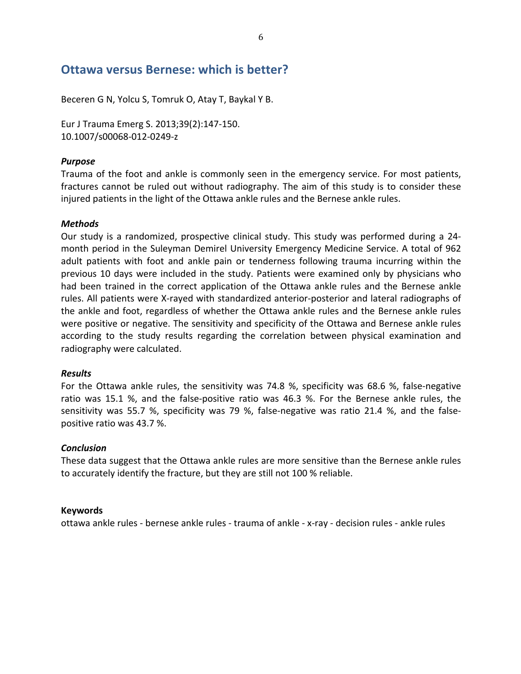## **Ottawa versus Bernese: which is better?**

Beceren G N, Yolcu S, Tomruk O, Atay T, Baykal Y B.

Eur J Trauma Emerg S. 2013;39(2):147-150. 10.1007/s00068-012-0249-z

### *Purpose*

Trauma of the foot and ankle is commonly seen in the emergency service. For most patients, fractures cannot be ruled out without radiography. The aim of this study is to consider these injured patients in the light of the Ottawa ankle rules and the Bernese ankle rules.

### *Methods*

Our study is a randomized, prospective clinical study. This study was performed during a 24month period in the Suleyman Demirel University Emergency Medicine Service. A total of 962 adult patients with foot and ankle pain or tenderness following trauma incurring within the previous 10 days were included in the study. Patients were examined only by physicians who had been trained in the correct application of the Ottawa ankle rules and the Bernese ankle rules. All patients were X-rayed with standardized anterior-posterior and lateral radiographs of the ankle and foot, regardless of whether the Ottawa ankle rules and the Bernese ankle rules were positive or negative. The sensitivity and specificity of the Ottawa and Bernese ankle rules according to the study results regarding the correlation between physical examination and radiography were calculated.

### *Results*

For the Ottawa ankle rules, the sensitivity was 74.8 %, specificity was 68.6 %, false-negative ratio was 15.1 %, and the false-positive ratio was 46.3 %. For the Bernese ankle rules, the sensitivity was 55.7 %, specificity was 79 %, false-negative was ratio 21.4 %, and the falsepositive ratio was 43.7 %.

### *Conclusion*

These data suggest that the Ottawa ankle rules are more sensitive than the Bernese ankle rules to accurately identify the fracture, but they are still not 100 % reliable.

### **Keywords**

ottawa ankle rules - bernese ankle rules - trauma of ankle - x-ray - decision rules - ankle rules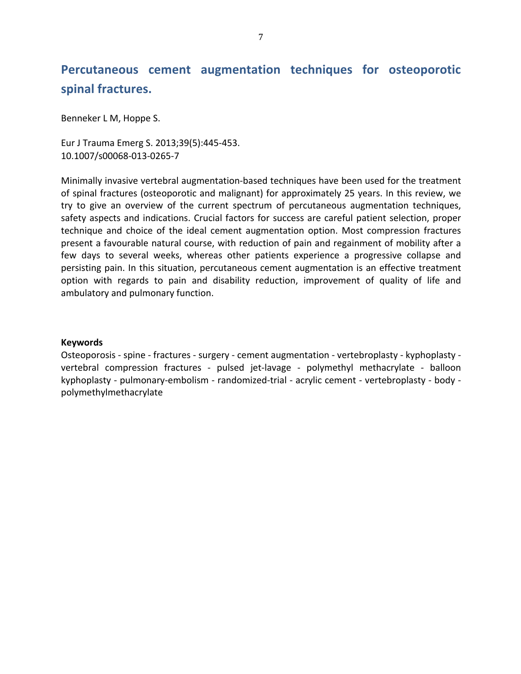## Percutaneous cement augmentation techniques for osteoporotic spinal fractures.

Benneker L M, Hoppe S.

Eur J Trauma Emerg S. 2013;39(5):445-453. 10.1007/s00068-013-0265-7

Minimally invasive vertebral augmentation-based techniques have been used for the treatment of spinal fractures (osteoporotic and malignant) for approximately 25 years. In this review, we try to give an overview of the current spectrum of percutaneous augmentation techniques, safety aspects and indications. Crucial factors for success are careful patient selection, proper technique and choice of the ideal cement augmentation option. Most compression fractures present a favourable natural course, with reduction of pain and regainment of mobility after a few days to several weeks, whereas other patients experience a progressive collapse and persisting pain. In this situation, percutaneous cement augmentation is an effective treatment option with regards to pain and disability reduction, improvement of quality of life and ambulatory and pulmonary function.

#### **Keywords**

Osteoporosis - spine - fractures - surgery - cement augmentation - vertebroplasty - kyphoplasty vertebral compression fractures - pulsed jet-lavage - polymethyl methacrylate - balloon kyphoplasty - pulmonary-embolism - randomized-trial - acrylic cement - vertebroplasty - body polymethylmethacrylate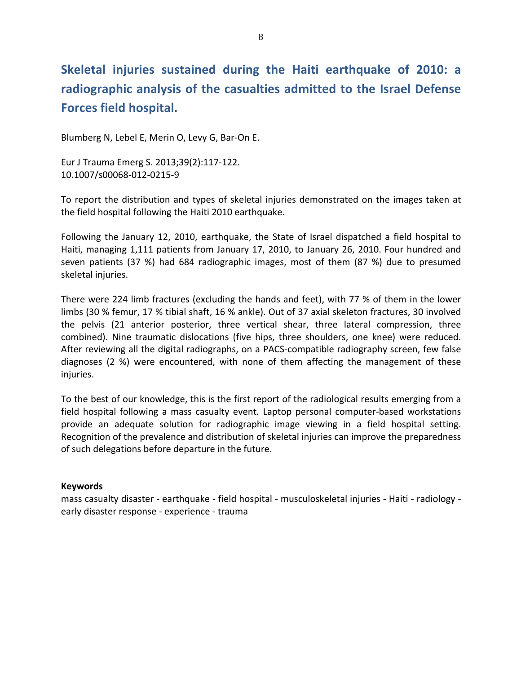# **Skeletal injuries sustained during the Haiti earthquake of 2010: a** radiographic analysis of the casualties admitted to the Israel Defense **Forces field hospital.**

Blumberg N, Lebel E, Merin O, Levy G, Bar-On E.

Eur J Trauma Emerg S. 2013;39(2):117-122. 10.1007/s00068-012-0215-9

To report the distribution and types of skeletal injuries demonstrated on the images taken at the field hospital following the Haiti 2010 earthquake.

Following the January 12, 2010, earthquake, the State of Israel dispatched a field hospital to Haiti, managing 1,111 patients from January 17, 2010, to January 26, 2010. Four hundred and seven patients (37 %) had 684 radiographic images, most of them (87 %) due to presumed skeletal injuries.

There were 224 limb fractures (excluding the hands and feet), with 77 % of them in the lower limbs (30 % femur, 17 % tibial shaft, 16 % ankle). Out of 37 axial skeleton fractures, 30 involved the pelvis (21 anterior posterior, three vertical shear, three lateral compression, three combined). Nine traumatic dislocations (five hips, three shoulders, one knee) were reduced. After reviewing all the digital radiographs, on a PACS-compatible radiography screen, few false diagnoses (2 %) were encountered, with none of them affecting the management of these injuries.

To the best of our knowledge, this is the first report of the radiological results emerging from a field hospital following a mass casualty event. Laptop personal computer-based workstations provide an adequate solution for radiographic image viewing in a field hospital setting. Recognition of the prevalence and distribution of skeletal injuries can improve the preparedness of such delegations before departure in the future.

### **Keywords**

mass casualty disaster - earthquake - field hospital - musculoskeletal injuries - Haiti - radiology early disaster response - experience - trauma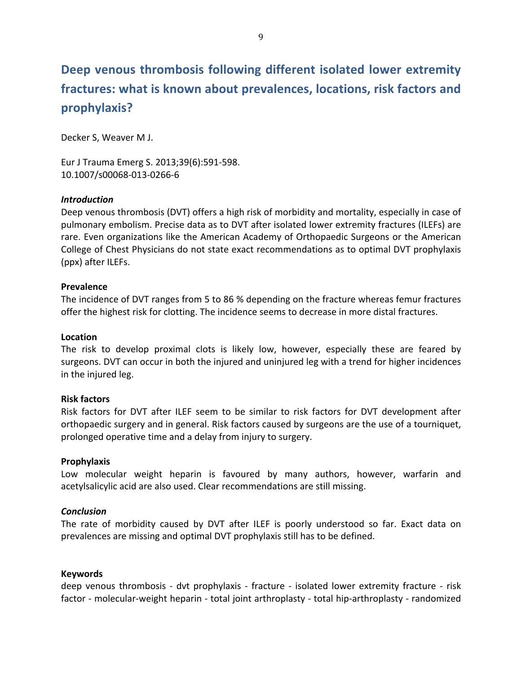# **Deep venous thrombosis following different isolated lower extremity** fractures: what is known about prevalences, locations, risk factors and **prophylaxis?**

Decker S, Weaver M J.

Eur J Trauma Emerg S. 2013;39(6):591-598. 10.1007/s00068-013-0266-6

### *Introduction*

Deep venous thrombosis (DVT) offers a high risk of morbidity and mortality, especially in case of pulmonary embolism. Precise data as to DVT after isolated lower extremity fractures (ILEFs) are rare. Even organizations like the American Academy of Orthopaedic Surgeons or the American College of Chest Physicians do not state exact recommendations as to optimal DVT prophylaxis (ppx) after ILEFs.

## **Prevalence\***

The incidence of DVT ranges from 5 to 86 % depending on the fracture whereas femur fractures offer the highest risk for clotting. The incidence seems to decrease in more distal fractures.

### **Location**

The risk to develop proximal clots is likely low, however, especially these are feared by surgeons. DVT can occur in both the injured and uninjured leg with a trend for higher incidences in the injured leg.

### **Risk factors**

Risk factors for DVT after ILEF seem to be similar to risk factors for DVT development after orthopaedic surgery and in general. Risk factors caused by surgeons are the use of a tourniquet, prolonged operative time and a delay from injury to surgery.

### **Prophylaxis\***

Low molecular weight heparin is favoured by many authors, however, warfarin and acetylsalicylic acid are also used. Clear recommendations are still missing.

### *Conclusion*

The rate of morbidity caused by DVT after ILEF is poorly understood so far. Exact data on prevalences are missing and optimal DVT prophylaxis still has to be defined.

### **Keywords**

deep venous thrombosis - dvt prophylaxis - fracture - isolated lower extremity fracture - risk factor - molecular-weight heparin - total joint arthroplasty - total hip-arthroplasty - randomized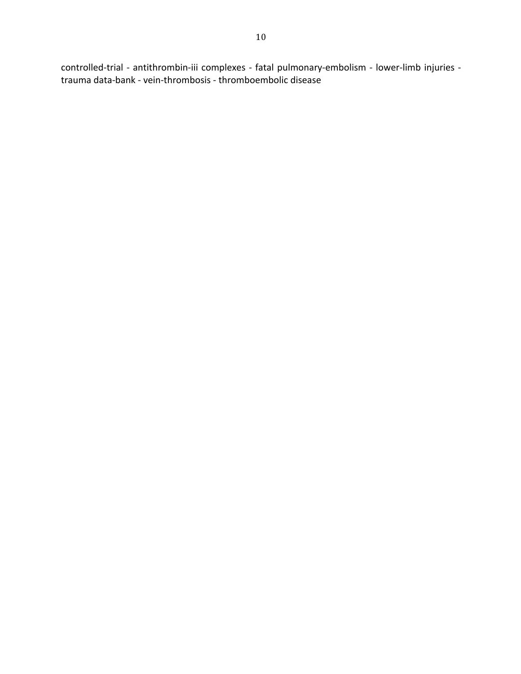controlled-trial - antithrombin-iii complexes - fatal pulmonary-embolism - lower-limb injuries trauma data-bank - vein-thrombosis - thromboembolic disease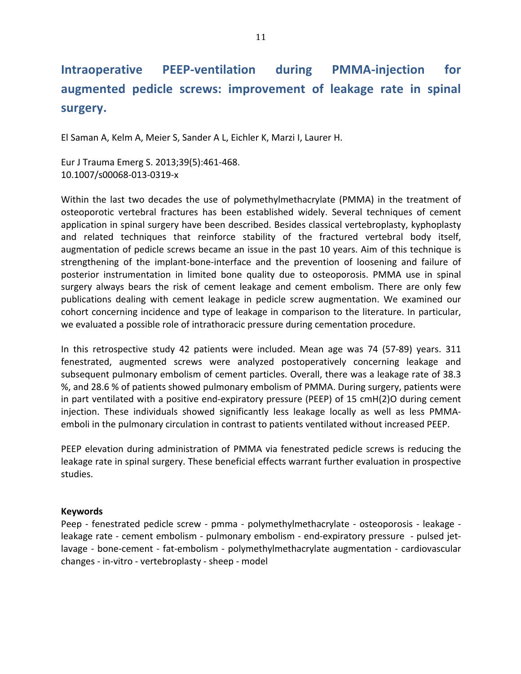#### during **PEEP-ventilation PMMA-injection** for **Intraoperative** augmented pedicle screws: improvement of leakage rate in spinal surgery.

El Saman A, Kelm A, Meier S, Sander A L, Eichler K, Marzi I, Laurer H.

Eur J Trauma Emerg S. 2013;39(5):461-468. 10.1007/s00068-013-0319-x

Within the last two decades the use of polymethylmethacrylate (PMMA) in the treatment of osteoporotic vertebral fractures has been established widely. Several techniques of cement application in spinal surgery have been described. Besides classical vertebroplasty, kyphoplasty and related techniques that reinforce stability of the fractured vertebral body itself, augmentation of pedicle screws became an issue in the past 10 years. Aim of this technique is strengthening of the implant-bone-interface and the prevention of loosening and failure of posterior instrumentation in limited bone quality due to osteoporosis. PMMA use in spinal surgery always bears the risk of cement leakage and cement embolism. There are only few publications dealing with cement leakage in pedicle screw augmentation. We examined our cohort concerning incidence and type of leakage in comparison to the literature. In particular, we evaluated a possible role of intrathoracic pressure during cementation procedure.

In this retrospective study 42 patients were included. Mean age was 74 (57-89) years. 311 fenestrated, augmented screws were analyzed postoperatively concerning leakage and subsequent pulmonary embolism of cement particles. Overall, there was a leakage rate of 38.3 %, and 28.6 % of patients showed pulmonary embolism of PMMA. During surgery, patients were in part ventilated with a positive end-expiratory pressure (PEEP) of 15 cmH(2)O during cement injection. These individuals showed significantly less leakage locally as well as less PMMAemboli in the pulmonary circulation in contrast to patients ventilated without increased PEEP.

PEEP elevation during administration of PMMA via fenestrated pedicle screws is reducing the leakage rate in spinal surgery. These beneficial effects warrant further evaluation in prospective studies.

### **Keywords**

Peep - fenestrated pedicle screw - pmma - polymethylmethacrylate - osteoporosis - leakage leakage rate - cement embolism - pulmonary embolism - end-expiratory pressure - pulsed jetlavage - bone-cement - fat-embolism - polymethylmethacrylate augmentation - cardiovascular changes - in-vitro - vertebroplasty - sheep - model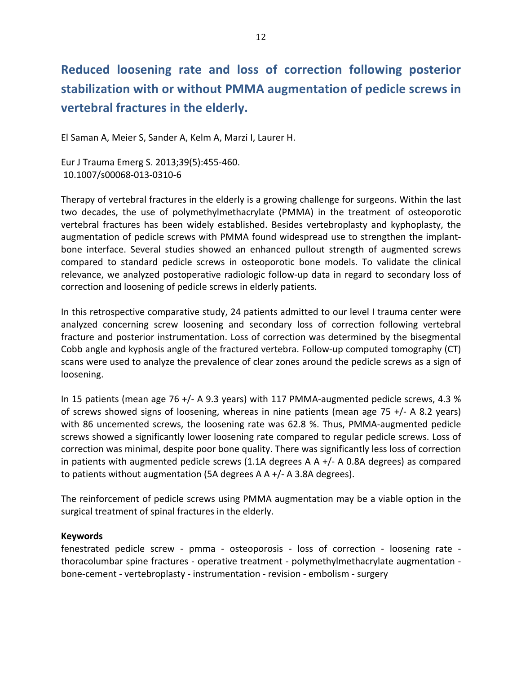# Reduced loosening rate and loss of correction following posterior stabilization with or without PMMA augmentation of pedicle screws in vertebral fractures in the elderly.

El Saman A, Meier S, Sander A, Kelm A, Marzi I, Laurer H.

Eur J Trauma Emerg S. 2013;39(5):455-460. 10.1007/s00068-013-0310-6

Therapy of vertebral fractures in the elderly is a growing challenge for surgeons. Within the last two decades, the use of polymethylmethacrylate (PMMA) in the treatment of osteoporotic vertebral fractures has been widely established. Besides vertebroplasty and kyphoplasty, the augmentation of pedicle screws with PMMA found widespread use to strengthen the implantbone interface. Several studies showed an enhanced pullout strength of augmented screws compared to standard pedicle screws in osteoporotic bone models. To validate the clinical relevance, we analyzed postoperative radiologic follow-up data in regard to secondary loss of correction and loosening of pedicle screws in elderly patients.

In this retrospective comparative study, 24 patients admitted to our level I trauma center were analyzed concerning screw loosening and secondary loss of correction following vertebral fracture and posterior instrumentation. Loss of correction was determined by the bisegmental Cobb angle and kyphosis angle of the fractured vertebra. Follow-up computed tomography (CT) scans were used to analyze the prevalence of clear zones around the pedicle screws as a sign of loosening.

In 15 patients (mean age 76 +/- A 9.3 years) with 117 PMMA-augmented pedicle screws, 4.3 % of screws showed signs of loosening, whereas in nine patients (mean age  $75 +/-$  A 8.2 years) with 86 uncemented screws, the loosening rate was 62.8 %. Thus, PMMA-augmented pedicle screws showed a significantly lower loosening rate compared to regular pedicle screws. Loss of correction was minimal, despite poor bone quality. There was significantly less loss of correction in patients with augmented pedicle screws  $(1.1A$  degrees A A  $+/-$  A 0.8A degrees) as compared to patients without augmentation (5A degrees  $A + (-A)$  3.8A degrees).

The reinforcement of pedicle screws using PMMA augmentation may be a viable option in the surgical treatment of spinal fractures in the elderly.

### **Keywords**

fenestrated pedicle screw - pmma - osteoporosis - loss of correction - loosening rate thoracolumbar spine fractures - operative treatment - polymethylmethacrylate augmentation bone-cement - vertebroplasty - instrumentation - revision - embolism - surgery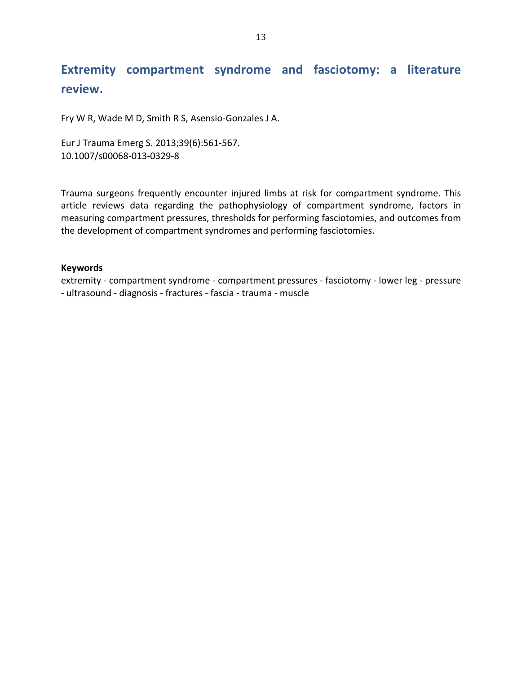## **Extremity compartment syndrome and fasciotomy: a literature review.**

Fry W R, Wade M D, Smith R S, Asensio-Gonzales J A.

Eur J Trauma Emerg S. 2013;39(6):561-567. 10.1007/s00068-013-0329-8

Trauma surgeons frequently encounter injured limbs at risk for compartment syndrome. This article reviews data regarding the pathophysiology of compartment syndrome, factors in measuring compartment pressures, thresholds for performing fasciotomies, and outcomes from the development of compartment syndromes and performing fasciotomies.

### **Keywords**

extremity - compartment syndrome - compartment pressures - fasciotomy - lower leg - pressure - ultrasound - diagnosis - fractures - fascia - trauma - muscle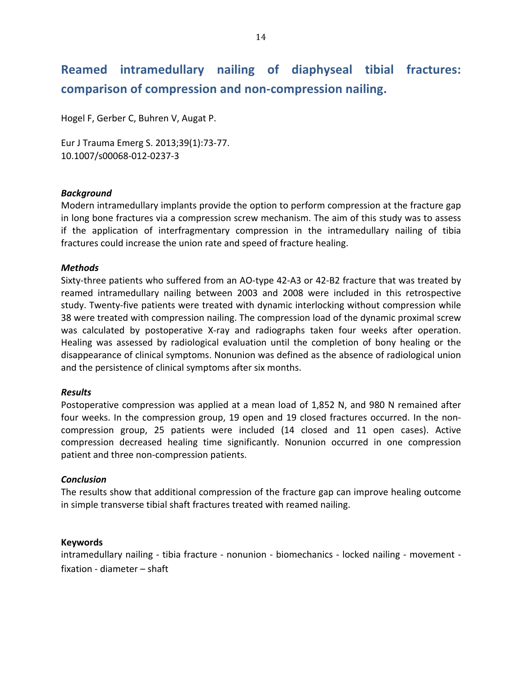# Reamed intramedullary nailing of diaphyseal tibial fractures: comparison of compression and non-compression nailing.

Hogel F, Gerber C, Buhren V, Augat P.

Eur J Trauma Emerg S. 2013;39(1):73-77. 10.1007/s00068-012-0237-3

## *Background7*

Modern intramedullary implants provide the option to perform compression at the fracture gap in long bone fractures via a compression screw mechanism. The aim of this study was to assess if the application of interfragmentary compression in the intramedullary nailing of tibia fractures could increase the union rate and speed of fracture healing.

## *Methods*

Sixty-three patients who suffered from an AO-type 42-A3 or 42-B2 fracture that was treated by reamed intramedullary nailing between 2003 and 2008 were included in this retrospective study. Twenty-five patients were treated with dynamic interlocking without compression while 38 were treated with compression nailing. The compression load of the dynamic proximal screw was calculated by postoperative X-ray and radiographs taken four weeks after operation. Healing was assessed by radiological evaluation until the completion of bony healing or the disappearance of clinical symptoms. Nonunion was defined as the absence of radiological union and the persistence of clinical symptoms after six months.

### *Results*

Postoperative compression was applied at a mean load of 1,852 N, and 980 N remained after four weeks. In the compression group, 19 open and 19 closed fractures occurred. In the noncompression group, 25 patients were included (14 closed and 11 open cases). Active compression decreased healing time significantly. Nonunion occurred in one compression patient and three non-compression patients.

### *Conclusion*

The results show that additional compression of the fracture gap can improve healing outcome in simple transverse tibial shaft fractures treated with reamed nailing.

### **Keywords**

intramedullary nailing - tibia fracture - nonunion - biomechanics - locked nailing - movement  $fixation - diameter - shaft$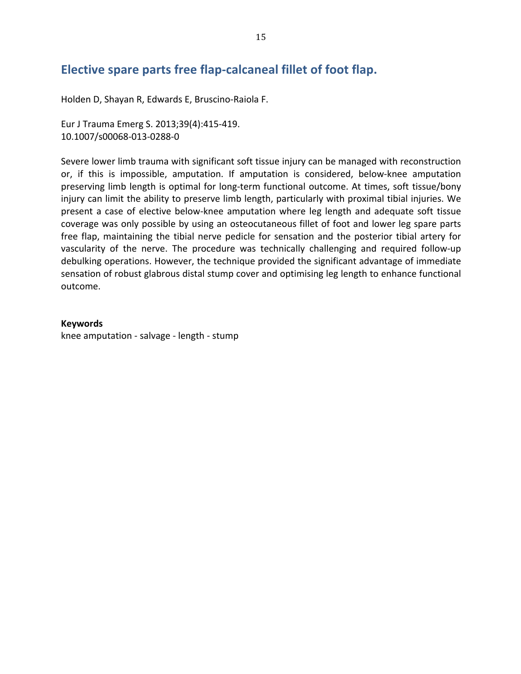## Elective spare parts free flap-calcaneal fillet of foot flap.

Holden D, Shayan R, Edwards E, Bruscino-Raiola F.

Eur J Trauma Emerg S. 2013;39(4):415-419. 10.1007/s00068-013-0288-0

Severe lower limb trauma with significant soft tissue injury can be managed with reconstruction or, if this is impossible, amputation. If amputation is considered, below-knee amputation preserving limb length is optimal for long-term functional outcome. At times, soft tissue/bony injury can limit the ability to preserve limb length, particularly with proximal tibial injuries. We present a case of elective below-knee amputation where leg length and adequate soft tissue coverage was only possible by using an osteocutaneous fillet of foot and lower leg spare parts free flap, maintaining the tibial nerve pedicle for sensation and the posterior tibial artery for vascularity of the nerve. The procedure was technically challenging and required follow-up debulking operations. However, the technique provided the significant advantage of immediate sensation of robust glabrous distal stump cover and optimising leg length to enhance functional outcome.

### **Keywords**

knee amputation - salvage - length - stump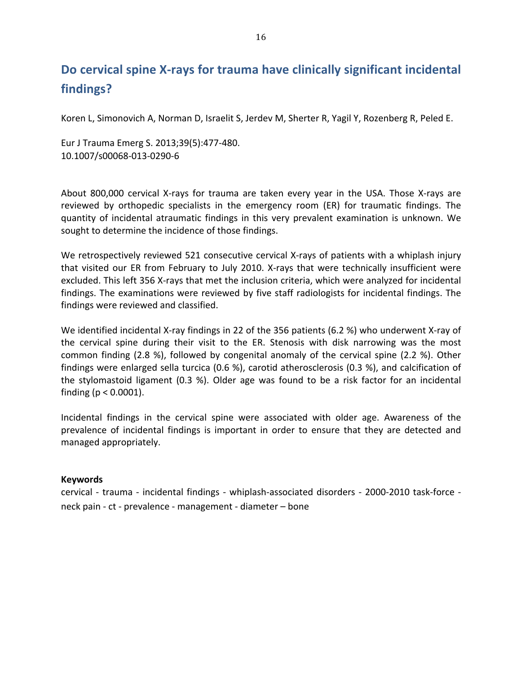## Do cervical spine X-rays for trauma have clinically significant incidental findings?

Koren L, Simonovich A, Norman D, Israelit S, Jerdey M, Sherter R, Yagil Y, Rozenberg R, Peled E.

Eur J Trauma Emerg S. 2013;39(5):477-480. 10.1007/s00068-013-0290-6

About 800,000 cervical X-rays for trauma are taken every year in the USA. Those X-rays are reviewed by orthopedic specialists in the emergency room (ER) for traumatic findings. The quantity of incidental atraumatic findings in this very prevalent examination is unknown. We sought to determine the incidence of those findings.

We retrospectively reviewed 521 consecutive cervical X-rays of patients with a whiplash injury that visited our ER from February to July 2010. X-rays that were technically insufficient were excluded. This left 356 X-rays that met the inclusion criteria, which were analyzed for incidental findings. The examinations were reviewed by five staff radiologists for incidental findings. The findings were reviewed and classified.

We identified incidental X-ray findings in 22 of the 356 patients (6.2 %) who underwent X-ray of the cervical spine during their visit to the ER. Stenosis with disk narrowing was the most common finding (2.8 %), followed by congenital anomaly of the cervical spine (2.2 %). Other findings were enlarged sella turcica (0.6 %), carotid atherosclerosis (0.3 %), and calcification of the stylomastoid ligament (0.3 %). Older age was found to be a risk factor for an incidental finding ( $p < 0.0001$ ).

Incidental findings in the cervical spine were associated with older age. Awareness of the prevalence of incidental findings is important in order to ensure that they are detected and managed appropriately.

## **Keywords**

cervical - trauma - incidental findings - whiplash-associated disorders - 2000-2010 task-force neck pain - ct - prevalence - management - diameter - bone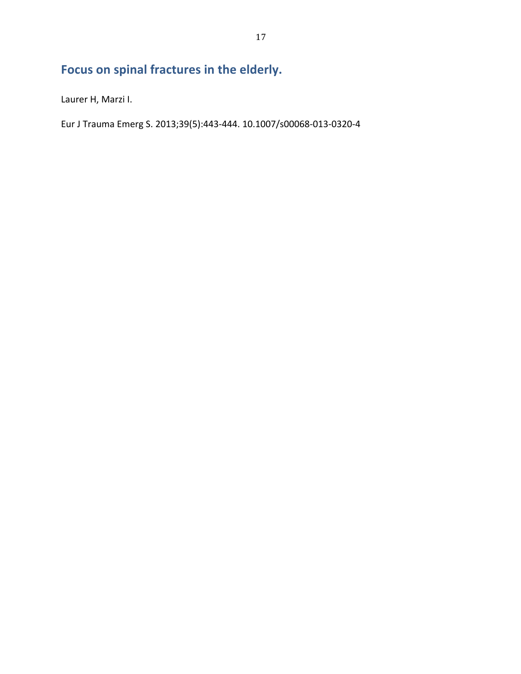# Focus on spinal fractures in the elderly.

Laurer H, Marzi I.

Eur J Trauma Emerg S. 2013;39(5):443-444. 10.1007/s00068-013-0320-4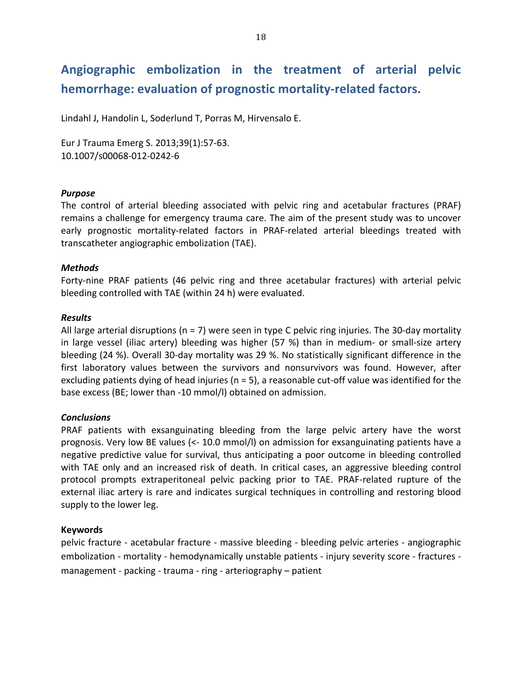## Angiographic embolization in the treatment of arterial pelvic **hemorrhage: evaluation of prognostic mortality-related factors.**

Lindahl J, Handolin L, Soderlund T, Porras M, Hirvensalo E.

Eur J Trauma Emerg S. 2013;39(1):57-63. 10.1007/s00068-012-0242-6

### *Purpose*

The control of arterial bleeding associated with pelvic ring and acetabular fractures (PRAF) remains a challenge for emergency trauma care. The aim of the present study was to uncover early prognostic mortality-related factors in PRAF-related arterial bleedings treated with transcatheter angiographic embolization (TAE).

## *Methods*

Forty-nine PRAF patients (46 pelvic ring and three acetabular fractures) with arterial pelvic bleeding controlled with TAE (within 24 h) were evaluated.

### *Results*

All large arterial disruptions (n = 7) were seen in type C pelvic ring injuries. The 30-day mortality in large vessel (iliac artery) bleeding was higher (57 %) than in medium- or small-size artery bleeding (24 %). Overall 30-day mortality was 29 %. No statistically significant difference in the first laboratory values between the survivors and nonsurvivors was found. However, after excluding patients dying of head injuries (n = 5), a reasonable cut-off value was identified for the base excess (BE; lower than -10 mmol/l) obtained on admission.

### *Conclusions*

PRAF patients with exsanguinating bleeding from the large pelvic artery have the worst prognosis. Very low BE values ( $\lt$ -10.0 mmol/l) on admission for exsanguinating patients have a negative predictive value for survival, thus anticipating a poor outcome in bleeding controlled with TAE only and an increased risk of death. In critical cases, an aggressive bleeding control protocol prompts extraperitoneal pelvic packing prior to TAE. PRAF-related rupture of the external iliac artery is rare and indicates surgical techniques in controlling and restoring blood supply to the lower leg.

### **Keywords**

pelvic fracture - acetabular fracture - massive bleeding - bleeding pelvic arteries - angiographic embolization - mortality - hemodynamically unstable patients - injury severity score - fractures management - packing - trauma - ring - arteriography – patient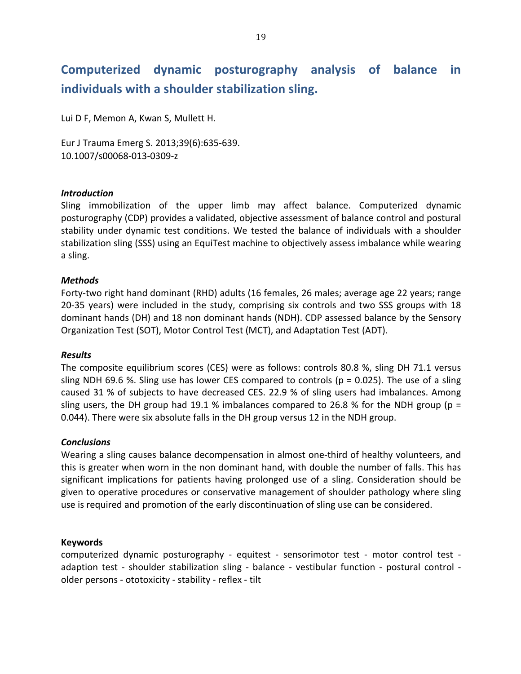## Computerized dynamic posturography analysis of balance <u>in</u> individuals with a shoulder stabilization sling.

Lui D F, Memon A, Kwan S, Mullett H.

Eur J Trauma Emerg S. 2013;39(6):635-639. 10.1007/s00068-013-0309-z

### **Introduction**

Sling immobilization of the upper limb may affect balance. Computerized dynamic posturography (CDP) provides a validated, objective assessment of balance control and postural stability under dynamic test conditions. We tested the balance of individuals with a shoulder stabilization sling (SSS) using an EquiTest machine to objectively assess imbalance while wearing a sling.

## **Methods**

Forty-two right hand dominant (RHD) adults (16 females, 26 males; average age 22 years; range 20-35 years) were included in the study, comprising six controls and two SSS groups with 18 dominant hands (DH) and 18 non dominant hands (NDH). CDP assessed balance by the Sensory Organization Test (SOT), Motor Control Test (MCT), and Adaptation Test (ADT).

### **Results**

The composite equilibrium scores (CES) were as follows: controls 80.8 %, sling DH 71.1 versus sling NDH 69.6 %. Sling use has lower CES compared to controls ( $p = 0.025$ ). The use of a sling caused 31 % of subjects to have decreased CES. 22.9 % of sling users had imbalances. Among sling users, the DH group had 19.1 % imbalances compared to 26.8 % for the NDH group ( $p =$ 0.044). There were six absolute falls in the DH group versus 12 in the NDH group.

### **Conclusions**

Wearing a sling causes balance decompensation in almost one-third of healthy volunteers, and this is greater when worn in the non dominant hand, with double the number of falls. This has significant implications for patients having prolonged use of a sling. Consideration should be given to operative procedures or conservative management of shoulder pathology where sling use is required and promotion of the early discontinuation of sling use can be considered.

### **Keywords**

computerized dynamic posturography - equitest - sensorimotor test - motor control test adaption test - shoulder stabilization sling - balance - vestibular function - postural control older persons - ototoxicity - stability - reflex - tilt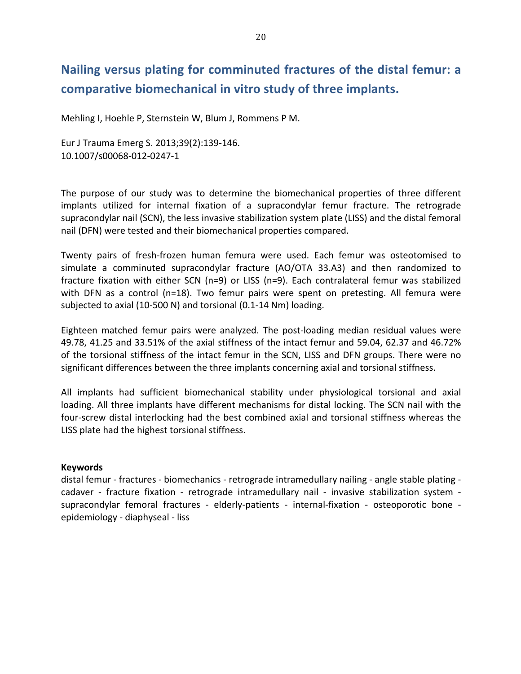## Nailing versus plating for comminuted fractures of the distal femur: a comparative biomechanical in vitro study of three implants.

Mehling I, Hoehle P, Sternstein W, Blum J, Rommens P M.

Eur J Trauma Emerg S. 2013;39(2):139-146. 10.1007/s00068-012-0247-1

The purpose of our study was to determine the biomechanical properties of three different implants utilized for internal fixation of a supracondylar femur fracture. The retrograde supracondylar nail (SCN), the less invasive stabilization system plate (LISS) and the distal femoral nail (DFN) were tested and their biomechanical properties compared.

Twenty pairs of fresh-frozen human femura were used. Each femur was osteotomised to simulate a comminuted supracondylar fracture (AO/OTA 33.A3) and then randomized to fracture fixation with either SCN (n=9) or LISS (n=9). Each contralateral femur was stabilized with DFN as a control ( $n=18$ ). Two femur pairs were spent on pretesting. All femura were subjected to axial (10-500 N) and torsional (0.1-14 Nm) loading.

Eighteen matched femur pairs were analyzed. The post-loading median residual values were 49.78, 41.25 and 33.51% of the axial stiffness of the intact femur and 59.04, 62.37 and 46.72% of the torsional stiffness of the intact femur in the SCN, LISS and DFN groups. There were no significant differences between the three implants concerning axial and torsional stiffness.

All implants had sufficient biomechanical stability under physiological torsional and axial loading. All three implants have different mechanisms for distal locking. The SCN nail with the four-screw distal interlocking had the best combined axial and torsional stiffness whereas the LISS plate had the highest torsional stiffness.

### **Keywords**

distal femur - fractures - biomechanics - retrograde intramedullary nailing - angle stable plating cadaver - fracture fixation - retrograde intramedullary nail - invasive stabilization system supracondylar femoral fractures - elderly-patients - internal-fixation - osteoporotic bone epidemiology - diaphyseal - liss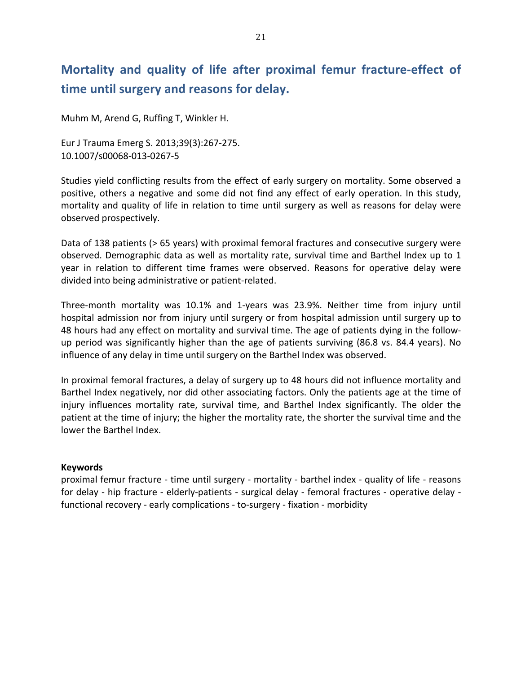## **Mortality and quality of life after proximal femur fracture-effect of** time until surgery and reasons for delay.

Muhm M, Arend G, Ruffing T, Winkler H.

Eur J Trauma Emerg S. 2013;39(3):267-275. 10.1007/s00068-013-0267-5

Studies yield conflicting results from the effect of early surgery on mortality. Some observed a positive, others a negative and some did not find any effect of early operation. In this study, mortality and quality of life in relation to time until surgery as well as reasons for delay were observed prospectively.

Data of 138 patients (> 65 years) with proximal femoral fractures and consecutive surgery were observed. Demographic data as well as mortality rate, survival time and Barthel Index up to 1 year in relation to different time frames were observed. Reasons for operative delay were divided into being administrative or patient-related.

Three-month mortality was 10.1% and 1-years was 23.9%. Neither time from injury until hospital admission nor from injury until surgery or from hospital admission until surgery up to 48 hours had any effect on mortality and survival time. The age of patients dying in the followup period was significantly higher than the age of patients surviving (86.8 vs. 84.4 years). No influence of any delay in time until surgery on the Barthel Index was observed.

In proximal femoral fractures, a delay of surgery up to 48 hours did not influence mortality and Barthel Index negatively, nor did other associating factors. Only the patients age at the time of injury influences mortality rate, survival time, and Barthel Index significantly. The older the patient at the time of injury; the higher the mortality rate, the shorter the survival time and the lower the Barthel Index.

## **Keywords**

proximal femur fracture - time until surgery - mortality - barthel index - quality of life - reasons for delay - hip fracture - elderly-patients - surgical delay - femoral fractures - operative delay functional recovery - early complications - to-surgery - fixation - morbidity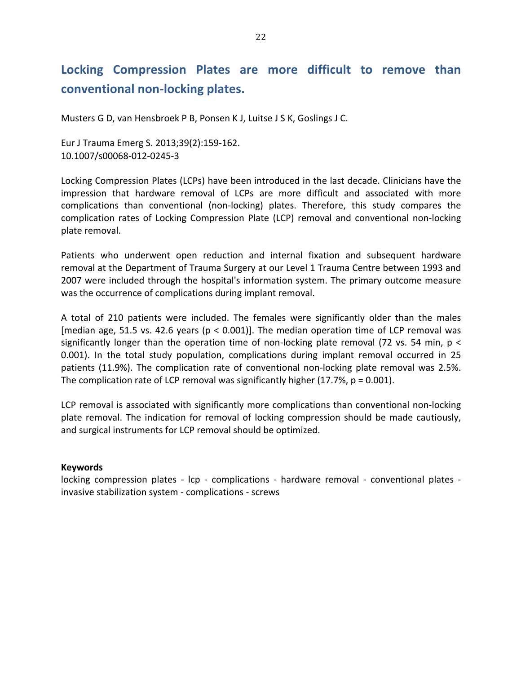## Locking Compression Plates are more difficult to remove than conventional non-locking plates.

Musters G D, van Hensbroek P B, Ponsen K J, Luitse J S K, Goslings J C.

Eur J Trauma Emerg S. 2013;39(2):159-162. 10.1007/s00068-012-0245-3

Locking Compression Plates (LCPs) have been introduced in the last decade. Clinicians have the impression that hardware removal of LCPs are more difficult and associated with more complications than conventional (non-locking) plates. Therefore, this study compares the complication rates of Locking Compression Plate (LCP) removal and conventional non-locking plate removal.

Patients who underwent open reduction and internal fixation and subsequent hardware removal at the Department of Trauma Surgery at our Level 1 Trauma Centre between 1993 and 2007 were included through the hospital's information system. The primary outcome measure was the occurrence of complications during implant removal.

A total of 210 patients were included. The females were significantly older than the males [median age, 51.5 vs. 42.6 years (p < 0.001)]. The median operation time of LCP removal was significantly longer than the operation time of non-locking plate removal (72 vs. 54 min,  $p \lt$ 0.001). In the total study population, complications during implant removal occurred in 25 patients (11.9%). The complication rate of conventional non-locking plate removal was 2.5%. The complication rate of LCP removal was significantly higher (17.7%,  $p = 0.001$ ).

LCP removal is associated with significantly more complications than conventional non-locking plate removal. The indication for removal of locking compression should be made cautiously, and surgical instruments for LCP removal should be optimized.

## **Keywords**

locking compression plates - lcp - complications - hardware removal - conventional plates invasive stabilization system - complications - screws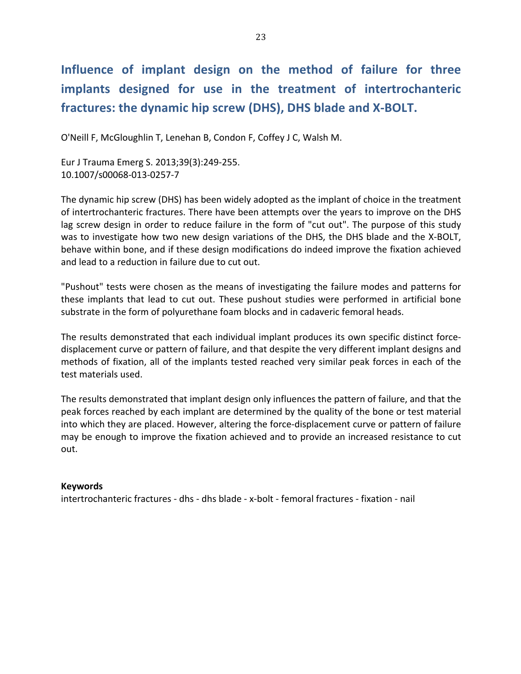# Influence of implant design on the method of failure for three implants designed for use in the treatment of intertrochanteric fractures: the dynamic hip screw (DHS), DHS blade and X-BOLT.

O'Neill F, McGloughlin T, Lenehan B, Condon F, Coffey J C, Walsh M.

Eur J Trauma Emerg S. 2013;39(3):249-255. 10.1007/s00068-013-0257-7

The dynamic hip screw (DHS) has been widely adopted as the implant of choice in the treatment of intertrochanteric fractures. There have been attempts over the years to improve on the DHS lag screw design in order to reduce failure in the form of "cut out". The purpose of this study was to investigate how two new design variations of the DHS, the DHS blade and the X-BOLT, behave within bone, and if these design modifications do indeed improve the fixation achieved and lead to a reduction in failure due to cut out.

"Pushout" tests were chosen as the means of investigating the failure modes and patterns for these implants that lead to cut out. These pushout studies were performed in artificial bone substrate in the form of polyurethane foam blocks and in cadaveric femoral heads.

The results demonstrated that each individual implant produces its own specific distinct forcedisplacement curve or pattern of failure, and that despite the very different implant designs and methods of fixation, all of the implants tested reached very similar peak forces in each of the test materials used.

The results demonstrated that implant design only influences the pattern of failure, and that the peak forces reached by each implant are determined by the quality of the bone or test material into which they are placed. However, altering the force-displacement curve or pattern of failure may be enough to improve the fixation achieved and to provide an increased resistance to cut out.

## **Keywords**

intertrochanteric fractures - dhs - dhs blade - x-bolt - femoral fractures - fixation - nail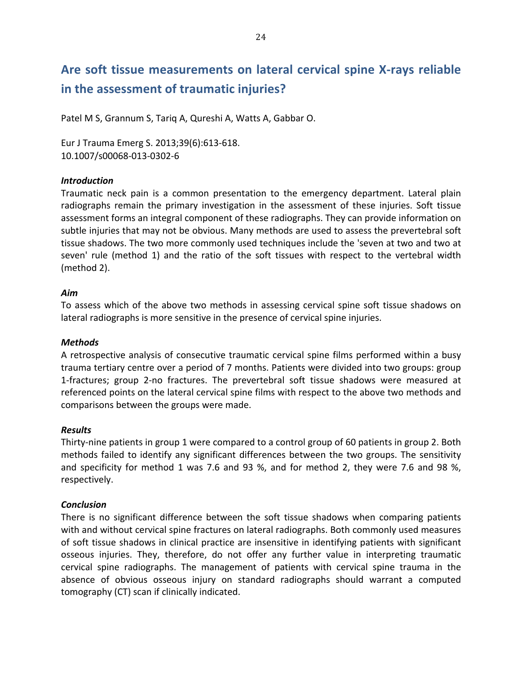## Are soft tissue measurements on lateral cervical spine X-rays reliable **in the assessment of traumatic injuries?**

Patel M S, Grannum S, Tarig A, Qureshi A, Watts A, Gabbar O.

Eur J Trauma Emerg S. 2013;39(6):613-618. 10.1007/s00068-013-0302-6

## *Introduction*

Traumatic neck pain is a common presentation to the emergency department. Lateral plain radiographs remain the primary investigation in the assessment of these injuries. Soft tissue assessment forms an integral component of these radiographs. They can provide information on subtle injuries that may not be obvious. Many methods are used to assess the prevertebral soft tissue shadows. The two more commonly used techniques include the 'seven at two and two at seven' rule (method 1) and the ratio of the soft tissues with respect to the vertebral width  $(method 2)$ .

## *Aim7*

To assess which of the above two methods in assessing cervical spine soft tissue shadows on lateral radiographs is more sensitive in the presence of cervical spine injuries.

## *Methods*

A retrospective analysis of consecutive traumatic cervical spine films performed within a busy trauma tertiary centre over a period of 7 months. Patients were divided into two groups: group 1-fractures; group 2-no fractures. The prevertebral soft tissue shadows were measured at referenced points on the lateral cervical spine films with respect to the above two methods and comparisons between the groups were made.

## *Results*

Thirty-nine patients in group 1 were compared to a control group of 60 patients in group 2. Both methods failed to identify any significant differences between the two groups. The sensitivity and specificity for method 1 was 7.6 and 93 %, and for method 2, they were 7.6 and 98 %, respectively.

## *Conclusion*

There is no significant difference between the soft tissue shadows when comparing patients with and without cervical spine fractures on lateral radiographs. Both commonly used measures of soft tissue shadows in clinical practice are insensitive in identifying patients with significant osseous injuries. They, therefore, do not offer any further value in interpreting traumatic cervical spine radiographs. The management of patients with cervical spine trauma in the absence of obvious osseous injury on standard radiographs should warrant a computed tomography (CT) scan if clinically indicated.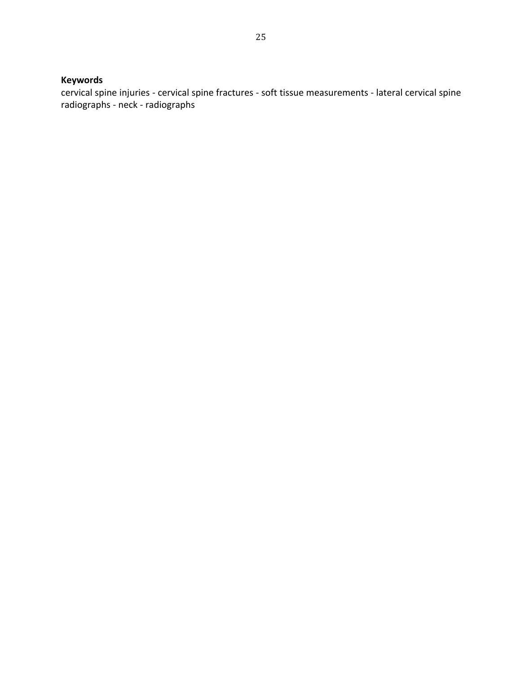## **Keywords**

cervical spine injuries - cervical spine fractures - soft tissue measurements - lateral cervical spine radiographs - neck - radiographs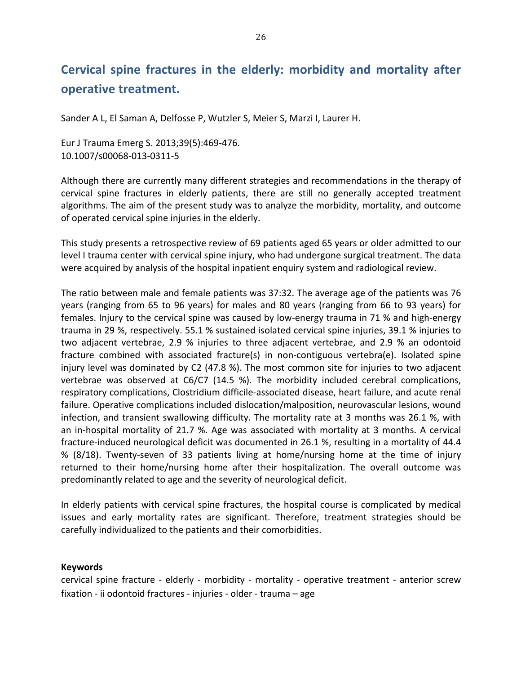## Cervical spine fractures in the elderly: morbidity and mortality after operative treatment.

Sander A L, El Saman A, Delfosse P, Wutzler S, Meier S, Marzi I, Laurer H.

Eur J Trauma Emerg S. 2013;39(5):469-476. 10.1007/s00068-013-0311-5

Although there are currently many different strategies and recommendations in the therapy of cervical spine fractures in elderly patients, there are still no generally accepted treatment algorithms. The aim of the present study was to analyze the morbidity, mortality, and outcome of operated cervical spine injuries in the elderly.

This study presents a retrospective review of 69 patients aged 65 years or older admitted to our level I trauma center with cervical spine injury, who had undergone surgical treatment. The data were acquired by analysis of the hospital inpatient enquiry system and radiological review.

The ratio between male and female patients was 37:32. The average age of the patients was 76 years (ranging from 65 to 96 years) for males and 80 years (ranging from 66 to 93 years) for females. Injury to the cervical spine was caused by low-energy trauma in 71 % and high-energy trauma in 29 %, respectively. 55.1 % sustained isolated cervical spine injuries, 39.1 % injuries to two adjacent vertebrae, 2.9 % injuries to three adjacent vertebrae, and 2.9 % an odontoid fracture combined with associated fracture(s) in non-contiguous vertebra(e). Isolated spine injury level was dominated by C2 (47.8 %). The most common site for injuries to two adjacent vertebrae was observed at C6/C7 (14.5 %). The morbidity included cerebral complications, respiratory complications, Clostridium difficile-associated disease, heart failure, and acute renal failure. Operative complications included dislocation/malposition, neurovascular lesions, wound infection, and transient swallowing difficulty. The mortality rate at 3 months was 26.1 %, with an in-hospital mortality of 21.7 %. Age was associated with mortality at 3 months. A cervical fracture-induced neurological deficit was documented in 26.1 %, resulting in a mortality of 44.4 % (8/18). Twenty-seven of 33 patients living at home/nursing home at the time of injury returned to their home/nursing home after their hospitalization. The overall outcome was predominantly related to age and the severity of neurological deficit.

In elderly patients with cervical spine fractures, the hospital course is complicated by medical issues and early mortality rates are significant. Therefore, treatment strategies should be carefully individualized to the patients and their comorbidities.

## **Keywords**

cervical spine fracture - elderly - morbidity - mortality - operative treatment - anterior screw fixation - ii odontoid fractures - injuries - older - trauma - age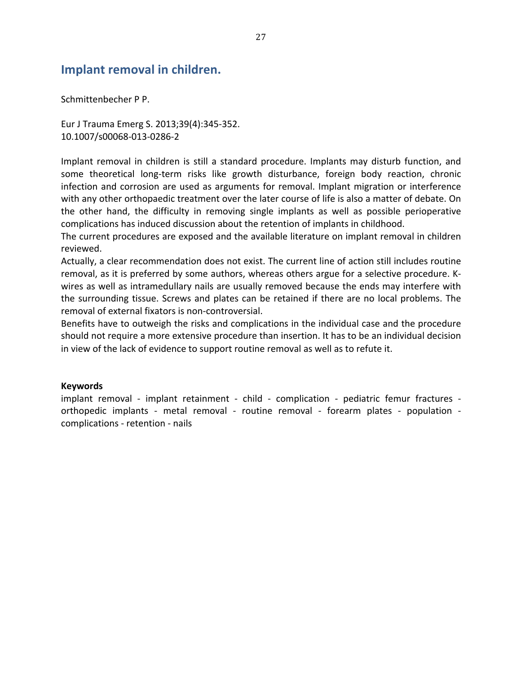## **Implant removal in children.**

Schmittenbecher P P.

Eur J Trauma Emerg S. 2013;39(4):345-352. 10.1007/s00068-013-0286-2

Implant removal in children is still a standard procedure. Implants may disturb function, and some theoretical long-term risks like growth disturbance, foreign body reaction, chronic infection and corrosion are used as arguments for removal. Implant migration or interference with any other orthopaedic treatment over the later course of life is also a matter of debate. On the other hand, the difficulty in removing single implants as well as possible perioperative complications has induced discussion about the retention of implants in childhood.

The current procedures are exposed and the available literature on implant removal in children reviewed.

Actually, a clear recommendation does not exist. The current line of action still includes routine removal, as it is preferred by some authors, whereas others argue for a selective procedure. Kwires as well as intramedullary nails are usually removed because the ends may interfere with the surrounding tissue. Screws and plates can be retained if there are no local problems. The removal of external fixators is non-controversial.

Benefits have to outweigh the risks and complications in the individual case and the procedure should not require a more extensive procedure than insertion. It has to be an individual decision in view of the lack of evidence to support routine removal as well as to refute it.

### **Keywords**

implant removal - implant retainment - child - complication - pediatric femur fractures orthopedic implants - metal removal - routine removal - forearm plates - population complications - retention - nails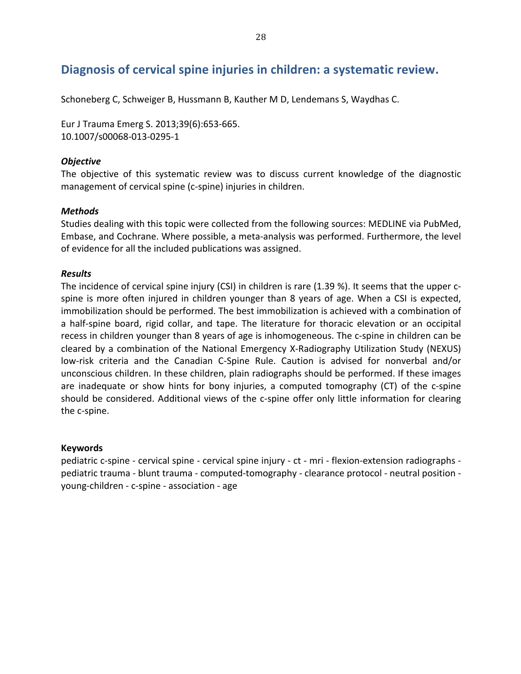## Diagnosis of cervical spine injuries in children: a systematic review.

Schoneberg C, Schweiger B, Hussmann B, Kauther M D, Lendemans S, Waydhas C.

Eur J Trauma Emerg S. 2013;39(6):653-665. 10.1007/s00068-013-0295-1

### *Objective7*

The objective of this systematic review was to discuss current knowledge of the diagnostic management of cervical spine (c-spine) injuries in children.

### *Methods*

Studies dealing with this topic were collected from the following sources: MEDLINE via PubMed, Embase, and Cochrane. Where possible, a meta-analysis was performed. Furthermore, the level of evidence for all the included publications was assigned.

## *Results*

The incidence of cervical spine injury (CSI) in children is rare (1.39 %). It seems that the upper  $c$ spine is more often injured in children younger than 8 years of age. When a CSI is expected, immobilization should be performed. The best immobilization is achieved with a combination of a half-spine board, rigid collar, and tape. The literature for thoracic elevation or an occipital recess in children younger than 8 years of age is inhomogeneous. The c-spine in children can be cleared by a combination of the National Emergency X-Radiography Utilization Study (NEXUS) low-risk criteria and the Canadian C-Spine Rule. Caution is advised for nonverbal and/or unconscious children. In these children, plain radiographs should be performed. If these images are inadequate or show hints for bony injuries, a computed tomography (CT) of the c-spine should be considered. Additional views of the c-spine offer only little information for clearing the c-spine.

### **Keywords**

pediatric c-spine - cervical spine - cervical spine injury - ct - mri - flexion-extension radiographs pediatric trauma - blunt trauma - computed-tomography - clearance protocol - neutral position young-children - c-spine - association - age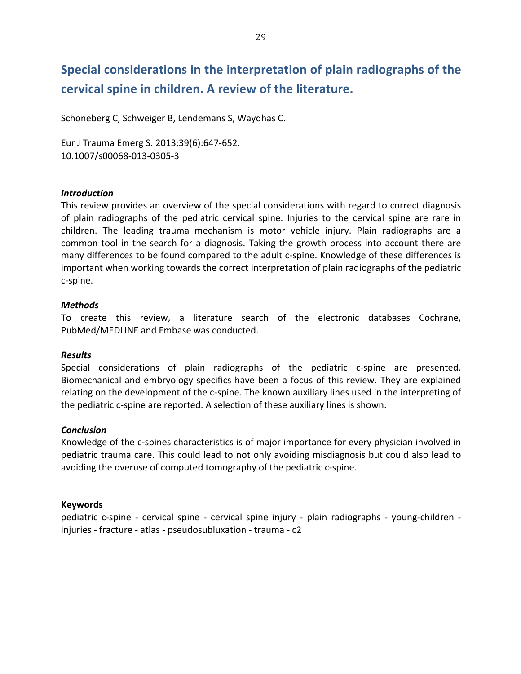## Special considerations in the interpretation of plain radiographs of the cervical spine in children. A review of the literature.

Schoneberg C, Schweiger B, Lendemans S, Waydhas C.

Eur J Trauma Emerg S. 2013;39(6):647-652. 10.1007/s00068-013-0305-3

### *Introduction*

This review provides an overview of the special considerations with regard to correct diagnosis of plain radiographs of the pediatric cervical spine. Injuries to the cervical spine are rare in children. The leading trauma mechanism is motor vehicle injury. Plain radiographs are a common tool in the search for a diagnosis. Taking the growth process into account there are many differences to be found compared to the adult c-spine. Knowledge of these differences is important when working towards the correct interpretation of plain radiographs of the pediatric c-spine.

## *Methods*

To create this review, a literature search of the electronic databases Cochrane, PubMed/MEDLINE and Embase was conducted.

### *Results*

Special considerations of plain radiographs of the pediatric c-spine are presented. Biomechanical and embryology specifics have been a focus of this review. They are explained relating on the development of the c-spine. The known auxiliary lines used in the interpreting of the pediatric c-spine are reported. A selection of these auxiliary lines is shown.

### *Conclusion*

Knowledge of the c-spines characteristics is of major importance for every physician involved in pediatric trauma care. This could lead to not only avoiding misdiagnosis but could also lead to avoiding the overuse of computed tomography of the pediatric c-spine.

## **Keywords**

pediatric c-spine - cervical spine - cervical spine injury - plain radiographs - young-children injuries - fracture - atlas - pseudosubluxation - trauma - c2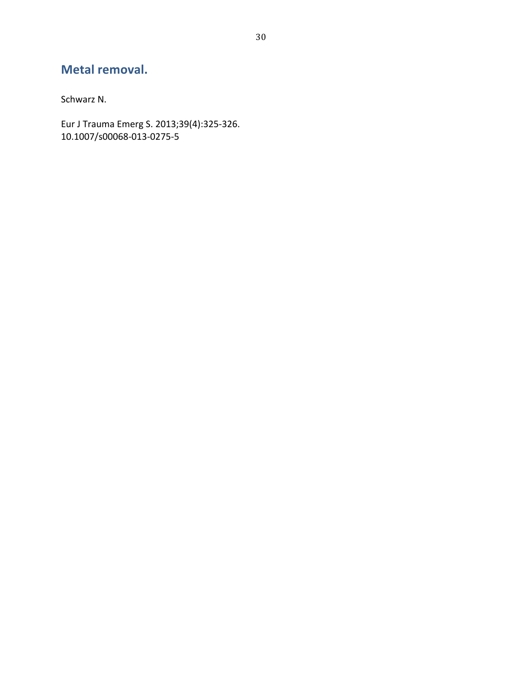## Metal removal.

Schwarz N.

Eur J Trauma Emerg S. 2013;39(4):325-326.<br>10.1007/s00068-013-0275-5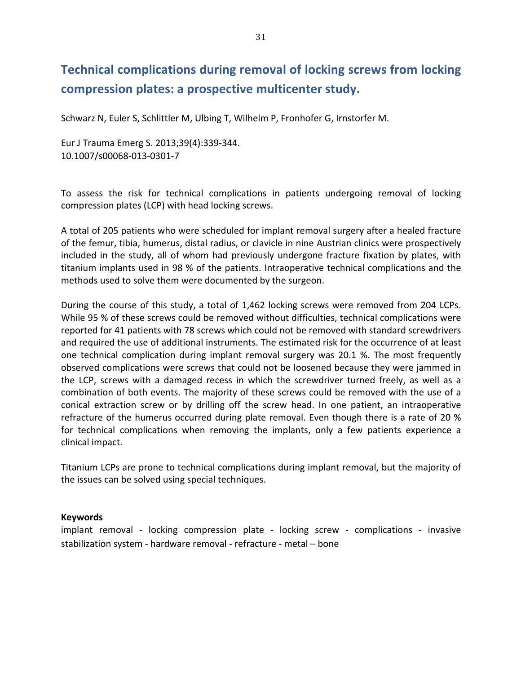## **Technical complications during removal of locking screws from locking** compression plates: a prospective multicenter study.

Schwarz N, Euler S, Schlittler M, Ulbing T, Wilhelm P, Fronhofer G, Irnstorfer M.

Eur J Trauma Emerg S. 2013;39(4):339-344. 10.1007/s00068-013-0301-7

To assess the risk for technical complications in patients undergoing removal of locking compression plates (LCP) with head locking screws.

A total of 205 patients who were scheduled for implant removal surgery after a healed fracture of the femur, tibia, humerus, distal radius, or clavicle in nine Austrian clinics were prospectively included in the study, all of whom had previously undergone fracture fixation by plates, with titanium implants used in 98 % of the patients. Intraoperative technical complications and the methods used to solve them were documented by the surgeon.

During the course of this study, a total of 1,462 locking screws were removed from 204 LCPs. While 95 % of these screws could be removed without difficulties, technical complications were reported for 41 patients with 78 screws which could not be removed with standard screwdrivers and required the use of additional instruments. The estimated risk for the occurrence of at least one technical complication during implant removal surgery was 20.1 %. The most frequently observed complications were screws that could not be loosened because they were jammed in the LCP, screws with a damaged recess in which the screwdriver turned freely, as well as a combination of both events. The majority of these screws could be removed with the use of a conical extraction screw or by drilling off the screw head. In one patient, an intraoperative refracture of the humerus occurred during plate removal. Even though there is a rate of 20 % for technical complications when removing the implants, only a few patients experience a clinical impact.

Titanium LCPs are prone to technical complications during implant removal, but the majority of the issues can be solved using special techniques.

### **Keywords**

implant removal - locking compression plate - locking screw - complications - invasive stabilization system - hardware removal - refracture - metal – bone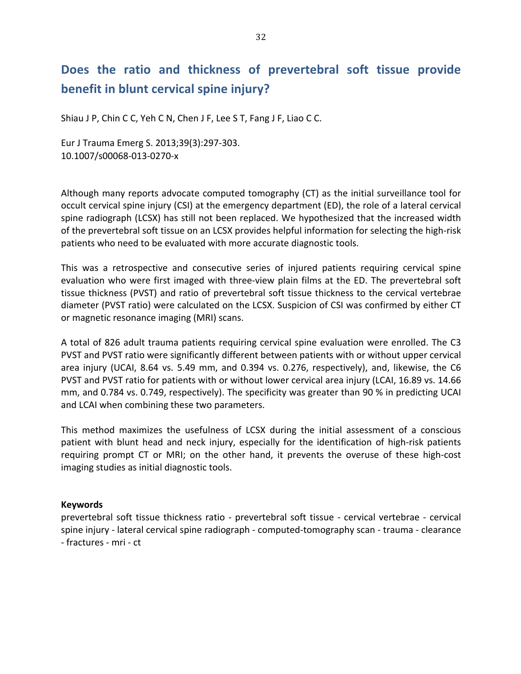## Does the ratio and thickness of prevertebral soft tissue provide **benefit in blunt cervical spine injury?**

Shiau J P, Chin C C, Yeh C N, Chen J F, Lee S T, Fang J F, Liao C C.

Eur J Trauma Emerg S. 2013;39(3):297-303. 10.1007/s00068-013-0270-x

Although many reports advocate computed tomography (CT) as the initial surveillance tool for occult cervical spine injury (CSI) at the emergency department (ED), the role of a lateral cervical spine radiograph (LCSX) has still not been replaced. We hypothesized that the increased width of the prevertebral soft tissue on an LCSX provides helpful information for selecting the high-risk patients who need to be evaluated with more accurate diagnostic tools.

This was a retrospective and consecutive series of injured patients requiring cervical spine evaluation who were first imaged with three-view plain films at the ED. The prevertebral soft tissue thickness (PVST) and ratio of prevertebral soft tissue thickness to the cervical vertebrae diameter (PVST ratio) were calculated on the LCSX. Suspicion of CSI was confirmed by either CT or magnetic resonance imaging (MRI) scans.

A total of 826 adult trauma patients requiring cervical spine evaluation were enrolled. The C3 PVST and PVST ratio were significantly different between patients with or without upper cervical area injury (UCAI, 8.64 vs. 5.49 mm, and 0.394 vs. 0.276, respectively), and, likewise, the C6 PVST and PVST ratio for patients with or without lower cervical area injury (LCAI, 16.89 vs. 14.66 mm, and 0.784 vs. 0.749, respectively). The specificity was greater than 90 % in predicting UCAI and LCAI when combining these two parameters.

This method maximizes the usefulness of LCSX during the initial assessment of a conscious patient with blunt head and neck injury, especially for the identification of high-risk patients requiring prompt CT or MRI; on the other hand, it prevents the overuse of these high-cost imaging studies as initial diagnostic tools.

## **Keywords**

prevertebral soft tissue thickness ratio - prevertebral soft tissue - cervical vertebrae - cervical spine injury - lateral cervical spine radiograph - computed-tomography scan - trauma - clearance - fractures - mri - ct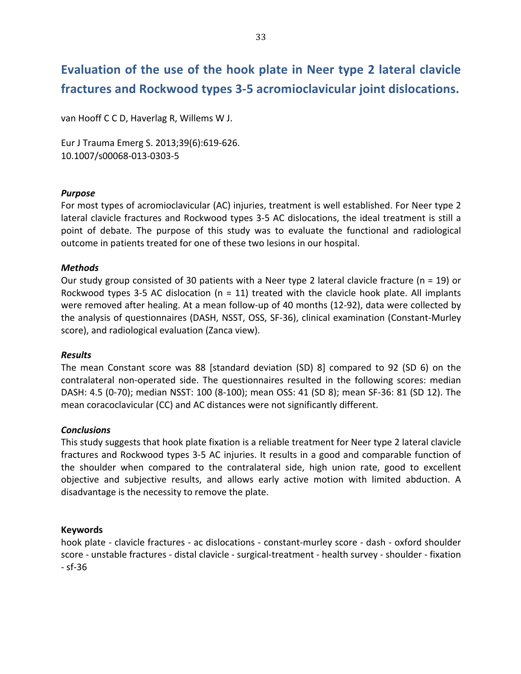## Evaluation of the use of the hook plate in Neer type 2 lateral clavicle fractures and Rockwood types 3-5 acromioclavicular joint dislocations.

van Hooff C C D, Haverlag R, Willems W J.

Eur J Trauma Emerg S. 2013;39(6):619-626. 10.1007/s00068-013-0303-5

## *Purpose*

For most types of acromioclavicular (AC) injuries, treatment is well established. For Neer type 2 lateral clavicle fractures and Rockwood types 3-5 AC dislocations, the ideal treatment is still a point of debate. The purpose of this study was to evaluate the functional and radiological outcome in patients treated for one of these two lesions in our hospital.

## *Methods*

Our study group consisted of 30 patients with a Neer type 2 lateral clavicle fracture (n = 19) or Rockwood types 3-5 AC dislocation (n = 11) treated with the clavicle hook plate. All implants were removed after healing. At a mean follow-up of 40 months (12-92), data were collected by the analysis of questionnaires (DASH, NSST, OSS, SF-36), clinical examination (Constant-Murley score), and radiological evaluation (Zanca view).

### *Results*

The mean Constant score was 88 [standard deviation (SD) 8] compared to 92 (SD 6) on the contralateral non-operated side. The questionnaires resulted in the following scores: median DASH: 4.5 (0-70); median NSST: 100 (8-100); mean OSS: 41 (SD 8); mean SF-36: 81 (SD 12). The mean coracoclavicular (CC) and AC distances were not significantly different.

### *Conclusions*

This study suggests that hook plate fixation is a reliable treatment for Neer type 2 lateral clavicle fractures and Rockwood types 3-5 AC injuries. It results in a good and comparable function of the shoulder when compared to the contralateral side, high union rate, good to excellent objective and subjective results, and allows early active motion with limited abduction. A disadvantage is the necessity to remove the plate.

## **Keywords**

hook plate - clavicle fractures - ac dislocations - constant-murley score - dash - oxford shoulder score - unstable fractures - distal clavicle - surgical-treatment - health survey - shoulder - fixation  $-$  sf $-36$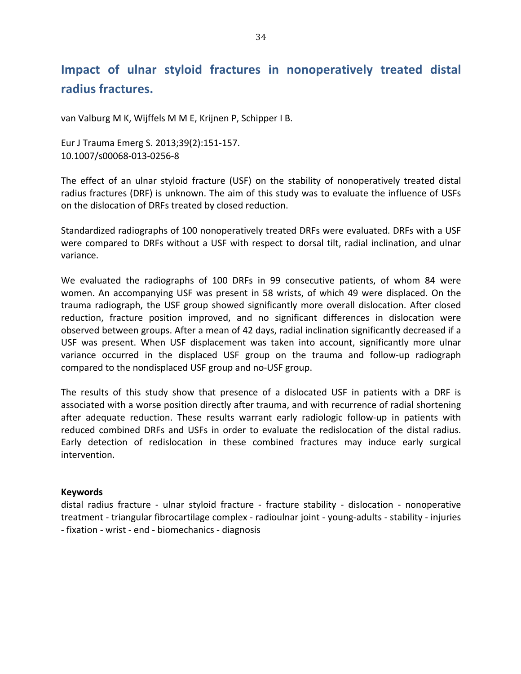## Impact of ulnar styloid fractures in nonoperatively treated distal radius fractures.

van Valburg M K, Wijffels M M E, Krijnen P, Schipper I B.

Eur J Trauma Emerg S. 2013;39(2):151-157. 10.1007/s00068-013-0256-8

The effect of an ulnar styloid fracture (USF) on the stability of nonoperatively treated distal radius fractures (DRF) is unknown. The aim of this study was to evaluate the influence of USFs on the dislocation of DRFs treated by closed reduction.

Standardized radiographs of 100 nonoperatively treated DRFs were evaluated. DRFs with a USF were compared to DRFs without a USF with respect to dorsal tilt, radial inclination, and ulnar variance.

We evaluated the radiographs of 100 DRFs in 99 consecutive patients, of whom 84 were women. An accompanying USF was present in 58 wrists, of which 49 were displaced. On the trauma radiograph, the USF group showed significantly more overall dislocation. After closed reduction, fracture position improved, and no significant differences in dislocation were observed between groups. After a mean of 42 days, radial inclination significantly decreased if a USF was present. When USF displacement was taken into account, significantly more ulnar variance occurred in the displaced USF group on the trauma and follow-up radiograph compared to the nondisplaced USF group and no-USF group.

The results of this study show that presence of a dislocated USF in patients with a DRF is associated with a worse position directly after trauma, and with recurrence of radial shortening after adequate reduction. These results warrant early radiologic follow-up in patients with reduced combined DRFs and USFs in order to evaluate the redislocation of the distal radius. Early detection of redislocation in these combined fractures may induce early surgical intervention.

### **Keywords**

distal radius fracture - ulnar styloid fracture - fracture stability - dislocation - nonoperative treatment - triangular fibrocartilage complex - radioulnar joint - young-adults - stability - injuries - fixation - wrist - end - biomechanics - diagnosis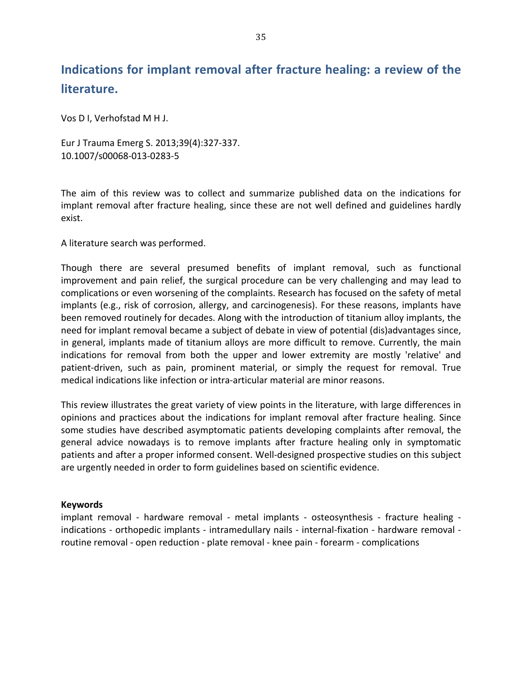## Indications for implant removal after fracture healing: a review of the **literature.**

Vos D I, Verhofstad M H J.

Eur J Trauma Emerg S. 2013;39(4):327-337. 10.1007/s00068-013-0283-5

The aim of this review was to collect and summarize published data on the indications for implant removal after fracture healing, since these are not well defined and guidelines hardly exist.

A literature search was performed.

Though there are several presumed benefits of implant removal, such as functional improvement and pain relief, the surgical procedure can be very challenging and may lead to complications or even worsening of the complaints. Research has focused on the safety of metal implants (e.g., risk of corrosion, allergy, and carcinogenesis). For these reasons, implants have been removed routinely for decades. Along with the introduction of titanium alloy implants, the need for implant removal became a subject of debate in view of potential (dis)advantages since, in general, implants made of titanium alloys are more difficult to remove. Currently, the main indications for removal from both the upper and lower extremity are mostly 'relative' and patient-driven, such as pain, prominent material, or simply the request for removal. True medical indications like infection or intra-articular material are minor reasons.

This review illustrates the great variety of view points in the literature, with large differences in opinions and practices about the indications for implant removal after fracture healing. Since some studies have described asymptomatic patients developing complaints after removal, the general advice nowadays is to remove implants after fracture healing only in symptomatic patients and after a proper informed consent. Well-designed prospective studies on this subject are urgently needed in order to form guidelines based on scientific evidence.

## **Keywords**

implant removal - hardware removal - metal implants - osteosynthesis - fracture healing indications - orthopedic implants - intramedullary nails - internal-fixation - hardware removal routine removal - open reduction - plate removal - knee pain - forearm - complications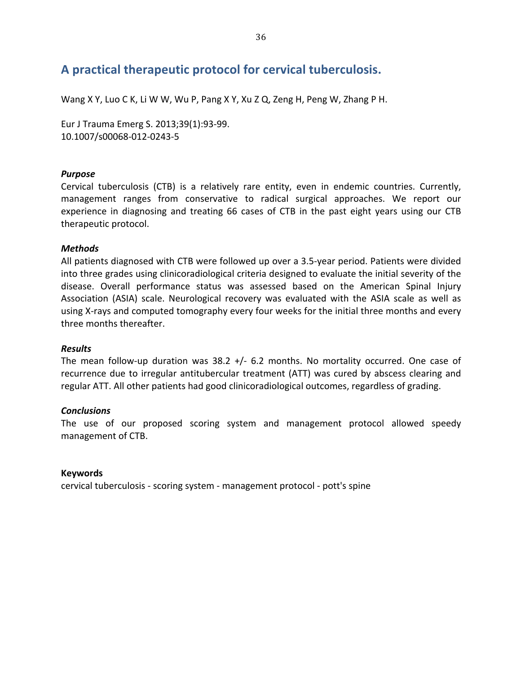## A practical therapeutic protocol for cervical tuberculosis.

Wang X Y, Luo C K, Li W W, Wu P, Pang X Y, Xu Z Q, Zeng H, Peng W, Zhang P H.

Eur J Trauma Emerg S. 2013;39(1):93-99. 10.1007/s00068-012-0243-5

## *Purpose*

Cervical tuberculosis (CTB) is a relatively rare entity, even in endemic countries. Currently, management ranges from conservative to radical surgical approaches. We report our experience in diagnosing and treating 66 cases of CTB in the past eight years using our CTB therapeutic protocol.

## *Methods*

All patients diagnosed with CTB were followed up over a 3.5-year period. Patients were divided into three grades using clinicoradiological criteria designed to evaluate the initial severity of the disease. Overall performance status was assessed based on the American Spinal Injury Association (ASIA) scale. Neurological recovery was evaluated with the ASIA scale as well as using X-rays and computed tomography every four weeks for the initial three months and every three months thereafter.

### *Results*

The mean follow-up duration was  $38.2$  +/- 6.2 months. No mortality occurred. One case of recurrence due to irregular antitubercular treatment (ATT) was cured by abscess clearing and regular ATT. All other patients had good clinicoradiological outcomes, regardless of grading.

### *Conclusions*

The use of our proposed scoring system and management protocol allowed speedy management of CTB.

### **Keywords**

cervical tuberculosis - scoring system - management protocol - pott's spine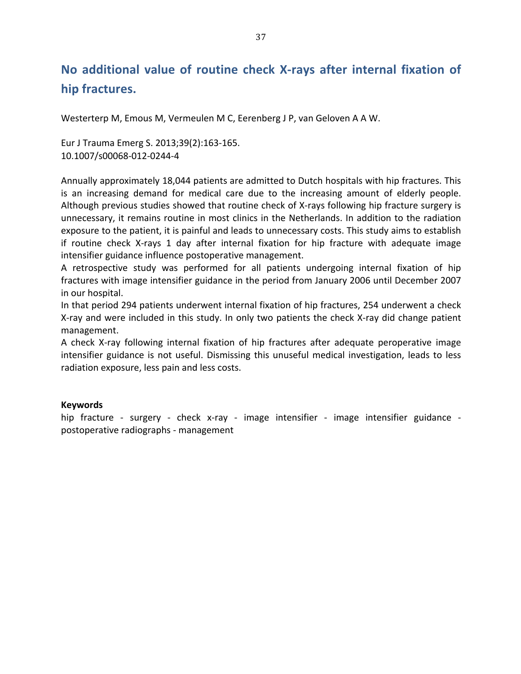## No additional value of routine check X-rays after internal fixation of hip fractures.

Westerterp M, Emous M, Vermeulen M C, Eerenberg J P, van Geloven A A W.

Eur J Trauma Emerg S. 2013;39(2):163-165. 10.1007/s00068-012-0244-4

Annually approximately 18,044 patients are admitted to Dutch hospitals with hip fractures. This is an increasing demand for medical care due to the increasing amount of elderly people. Although previous studies showed that routine check of X-rays following hip fracture surgery is unnecessary, it remains routine in most clinics in the Netherlands. In addition to the radiation exposure to the patient, it is painful and leads to unnecessary costs. This study aims to establish if routine check X-rays 1 day after internal fixation for hip fracture with adequate image intensifier guidance influence postoperative management.

A retrospective study was performed for all patients undergoing internal fixation of hip fractures with image intensifier guidance in the period from January 2006 until December 2007 in our hospital.

In that period 294 patients underwent internal fixation of hip fractures, 254 underwent a check X-ray and were included in this study. In only two patients the check X-ray did change patient management.

A check X-ray following internal fixation of hip fractures after adequate peroperative image intensifier guidance is not useful. Dismissing this unuseful medical investigation, leads to less radiation exposure, less pain and less costs.

### **Keywords**

hip fracture - surgery - check x-ray - image intensifier - image intensifier guidance postoperative radiographs - management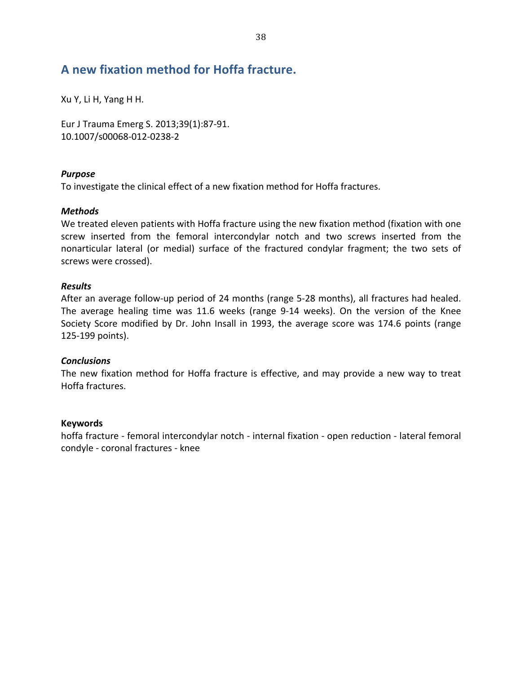### A new fixation method for Hoffa fracture.

Xu Y, Li H, Yang H H.

Eur J Trauma Emerg S. 2013;39(1):87-91. 10.1007/s00068-012-0238-2

### *Purpose*

To investigate the clinical effect of a new fixation method for Hoffa fractures.

### *Methods*

We treated eleven patients with Hoffa fracture using the new fixation method (fixation with one screw inserted from the femoral intercondylar notch and two screws inserted from the nonarticular lateral (or medial) surface of the fractured condylar fragment; the two sets of screws were crossed).

### *Results*

After an average follow-up period of 24 months (range 5-28 months), all fractures had healed. The average healing time was 11.6 weeks (range 9-14 weeks). On the version of the Knee Society Score modified by Dr. John Insall in 1993, the average score was 174.6 points (range 125-199 points).

### *Conclusions*

The new fixation method for Hoffa fracture is effective, and may provide a new way to treat Hoffa fractures.

### **Keywords**

hoffa fracture - femoral intercondylar notch - internal fixation - open reduction - lateral femoral condyle - coronal fractures - knee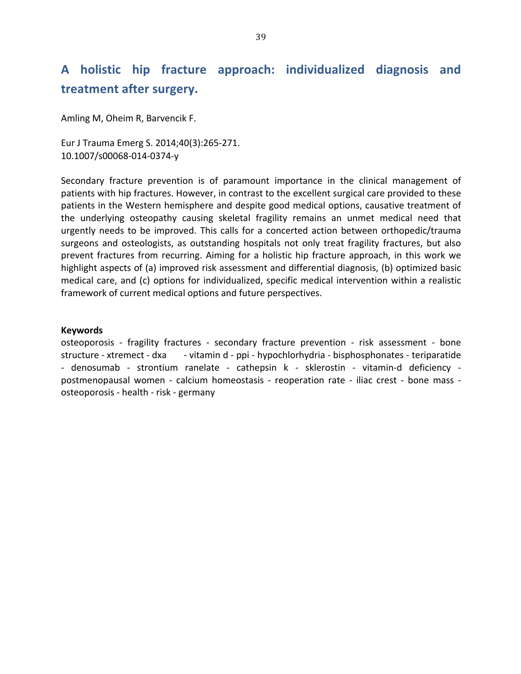## A holistic hip fracture approach: individualized diagnosis and treatment after surgery.

Amling M, Oheim R, Barvencik F.

Eur J Trauma Emerg S. 2014;40(3):265-271. 10.1007/s00068-014-0374-y

Secondary fracture prevention is of paramount importance in the clinical management of patients with hip fractures. However, in contrast to the excellent surgical care provided to these patients in the Western hemisphere and despite good medical options, causative treatment of the underlying osteopathy causing skeletal fragility remains an unmet medical need that urgently needs to be improved. This calls for a concerted action between orthopedic/trauma surgeons and osteologists, as outstanding hospitals not only treat fragility fractures, but also prevent fractures from recurring. Aiming for a holistic hip fracture approach, in this work we highlight aspects of (a) improved risk assessment and differential diagnosis, (b) optimized basic medical care, and (c) options for individualized, specific medical intervention within a realistic framework of current medical options and future perspectives.

#### **Keywords**

osteoporosis - fragility fractures - secondary fracture prevention - risk assessment - bone structure - xtremect - dxa - vitamin d - ppi - hypochlorhydria - bisphosphonates - teriparatide - denosumab - strontium ranelate - cathepsin k - sklerostin - vitamin-d deficiency postmenopausal women - calcium homeostasis - reoperation rate - iliac crest - bone mass osteoporosis - health - risk - germany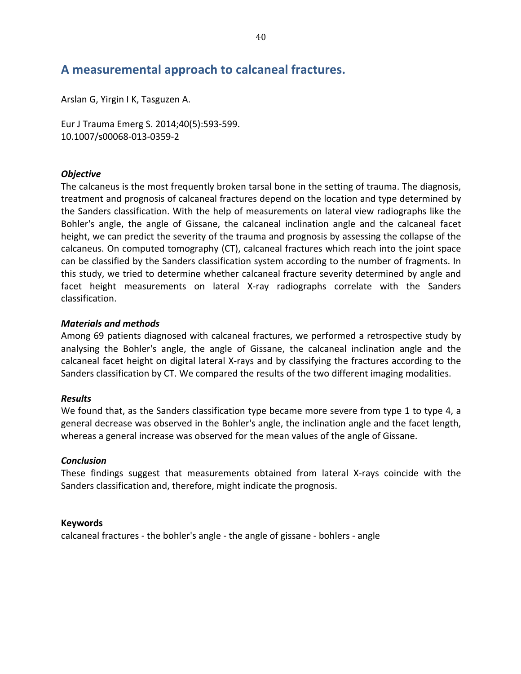### A measuremental approach to calcaneal fractures.

Arslan G, Yirgin I K, Tasguzen A.

Eur J Trauma Emerg S. 2014;40(5):593-599. 10.1007/s00068-013-0359-2

### **Objective**

The calcaneus is the most frequently broken tarsal bone in the setting of trauma. The diagnosis, treatment and prognosis of calcaneal fractures depend on the location and type determined by the Sanders classification. With the help of measurements on lateral view radiographs like the Bohler's angle, the angle of Gissane, the calcaneal inclination angle and the calcaneal facet height, we can predict the severity of the trauma and prognosis by assessing the collapse of the calcaneus. On computed tomography (CT), calcaneal fractures which reach into the joint space can be classified by the Sanders classification system according to the number of fragments. In this study, we tried to determine whether calcaneal fracture severity determined by angle and facet height measurements on lateral X-ray radiographs correlate with the Sanders classification.

### **Materials and methods**

Among 69 patients diagnosed with calcaneal fractures, we performed a retrospective study by analysing the Bohler's angle, the angle of Gissane, the calcaneal inclination angle and the calcaneal facet height on digital lateral X-rays and by classifying the fractures according to the Sanders classification by CT. We compared the results of the two different imaging modalities.

### **Results**

We found that, as the Sanders classification type became more severe from type 1 to type 4, a general decrease was observed in the Bohler's angle, the inclination angle and the facet length, whereas a general increase was observed for the mean values of the angle of Gissane.

### **Conclusion**

These findings suggest that measurements obtained from lateral X-rays coincide with the Sanders classification and, therefore, might indicate the prognosis.

### **Keywords**

calcaneal fractures - the bohler's angle - the angle of gissane - bohlers - angle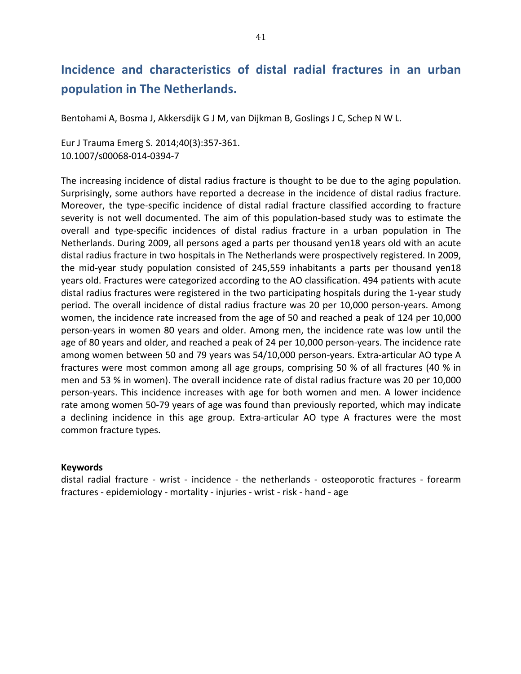## Incidence and characteristics of distal radial fractures in an urban **population in The Netherlands.**

Bentohami A, Bosma J, Akkersdijk G J M, van Dijkman B, Goslings J C, Schep N W L.

Eur J Trauma Emerg S. 2014;40(3):357-361. 10.1007/s00068-014-0394-7

The increasing incidence of distal radius fracture is thought to be due to the aging population. Surprisingly, some authors have reported a decrease in the incidence of distal radius fracture. Moreover, the type-specific incidence of distal radial fracture classified according to fracture severity is not well documented. The aim of this population-based study was to estimate the overall and type-specific incidences of distal radius fracture in a urban population in The Netherlands. During 2009, all persons aged a parts per thousand yen18 years old with an acute distal radius fracture in two hospitals in The Netherlands were prospectively registered. In 2009, the mid-year study population consisted of 245,559 inhabitants a parts per thousand yen18 years old. Fractures were categorized according to the AO classification. 494 patients with acute distal radius fractures were registered in the two participating hospitals during the 1-year study period. The overall incidence of distal radius fracture was 20 per 10,000 person-years. Among women, the incidence rate increased from the age of 50 and reached a peak of 124 per 10,000 person-years in women 80 years and older. Among men, the incidence rate was low until the age of 80 years and older, and reached a peak of 24 per 10,000 person-years. The incidence rate among women between 50 and 79 years was 54/10,000 person-years. Extra-articular AO type A fractures were most common among all age groups, comprising 50 % of all fractures (40 % in men and 53 % in women). The overall incidence rate of distal radius fracture was 20 per 10,000 person-years. This incidence increases with age for both women and men. A lower incidence rate among women 50-79 years of age was found than previously reported, which may indicate a declining incidence in this age group. Extra-articular AO type A fractures were the most common fracture types.

### **Keywords**

distal radial fracture - wrist - incidence - the netherlands - osteoporotic fractures - forearm fractures - epidemiology - mortality - injuries - wrist - risk - hand - age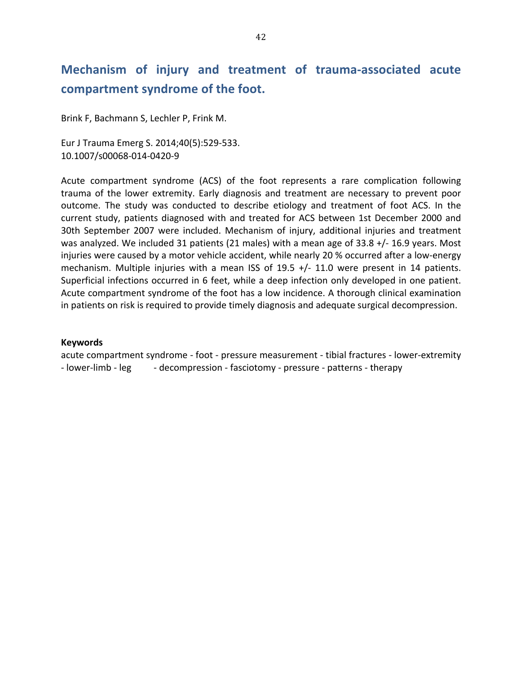## **Mechanism of injury and treatment of trauma-associated acute** compartment syndrome of the foot.

Brink F, Bachmann S, Lechler P, Frink M.

Eur J Trauma Emerg S. 2014;40(5):529-533. 10.1007/s00068-014-0420-9

Acute compartment syndrome (ACS) of the foot represents a rare complication following trauma of the lower extremity. Early diagnosis and treatment are necessary to prevent poor outcome. The study was conducted to describe etiology and treatment of foot ACS. In the current study, patients diagnosed with and treated for ACS between 1st December 2000 and 30th September 2007 were included. Mechanism of injury, additional injuries and treatment was analyzed. We included 31 patients (21 males) with a mean age of 33.8  $+/-$  16.9 years. Most injuries were caused by a motor vehicle accident, while nearly 20 % occurred after a low-energy mechanism. Multiple injuries with a mean ISS of  $19.5$  +/- 11.0 were present in 14 patients. Superficial infections occurred in 6 feet, while a deep infection only developed in one patient. Acute compartment syndrome of the foot has a low incidence. A thorough clinical examination in patients on risk is required to provide timely diagnosis and adequate surgical decompression.

### **Keywords**

acute compartment syndrome - foot - pressure measurement - tibial fractures - lower-extremity - lower-limb - leg book decompression - fasciotomy - pressure - patterns - therapy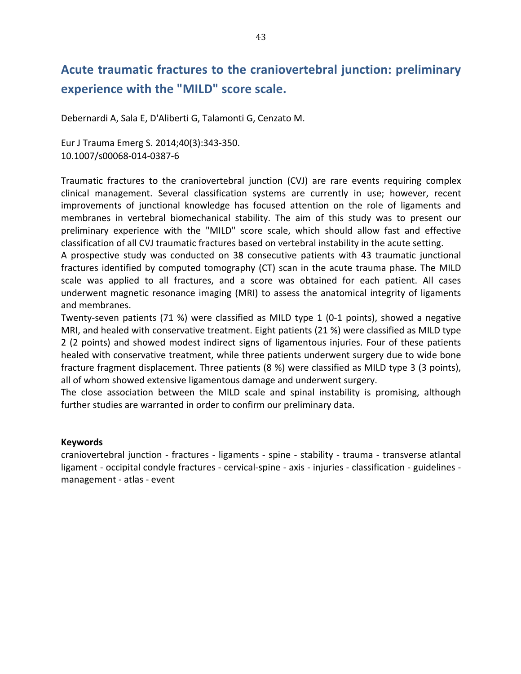## Acute traumatic fractures to the craniovertebral junction: preliminary **experience with the "MILD" score scale.**

Debernardi A, Sala E, D'Aliberti G, Talamonti G, Cenzato M.

Eur J Trauma Emerg S. 2014;40(3):343-350. 10.1007/s00068-014-0387-6

Traumatic fractures to the craniovertebral junction (CVJ) are rare events requiring complex clinical management. Several classification systems are currently in use; however, recent improvements of junctional knowledge has focused attention on the role of ligaments and membranes in vertebral biomechanical stability. The aim of this study was to present our preliminary experience with the "MILD" score scale, which should allow fast and effective classification of all CVJ traumatic fractures based on vertebral instability in the acute setting.

A prospective study was conducted on 38 consecutive patients with 43 traumatic junctional fractures identified by computed tomography (CT) scan in the acute trauma phase. The MILD scale was applied to all fractures, and a score was obtained for each patient. All cases underwent magnetic resonance imaging (MRI) to assess the anatomical integrity of ligaments and membranes.

Twenty-seven patients (71 %) were classified as MILD type 1 (0-1 points), showed a negative MRI, and healed with conservative treatment. Eight patients (21 %) were classified as MILD type 2 (2 points) and showed modest indirect signs of ligamentous injuries. Four of these patients healed with conservative treatment, while three patients underwent surgery due to wide bone fracture fragment displacement. Three patients (8 %) were classified as MILD type 3 (3 points), all of whom showed extensive ligamentous damage and underwent surgery.

The close association between the MILD scale and spinal instability is promising, although further studies are warranted in order to confirm our preliminary data.

### **Keywords**

craniovertebral junction - fractures - ligaments - spine - stability - trauma - transverse atlantal ligament - occipital condyle fractures - cervical-spine - axis - injuries - classification - guidelines management - atlas - event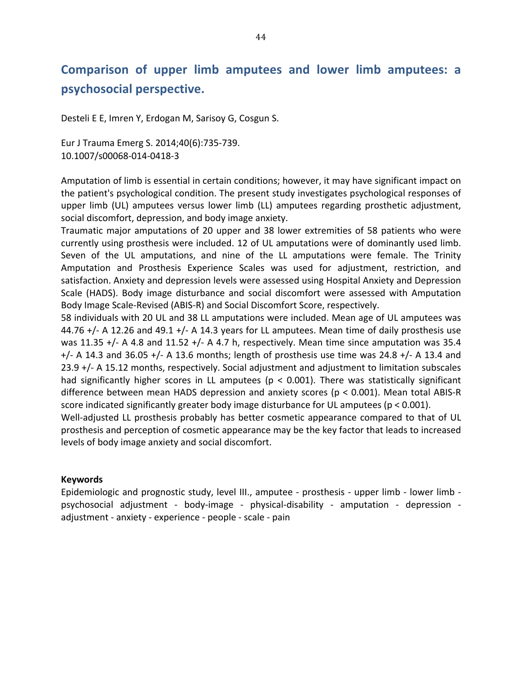## Comparison of upper limb amputees and lower limb amputees: a psychosocial perspective.

Desteli E E, Imren Y, Erdogan M, Sarisoy G, Cosgun S.

Eur J Trauma Emerg S. 2014;40(6):735-739. 10.1007/s00068-014-0418-3

Amputation of limb is essential in certain conditions; however, it may have significant impact on the patient's psychological condition. The present study investigates psychological responses of upper limb (UL) amputees versus lower limb (LL) amputees regarding prosthetic adjustment, social discomfort, depression, and body image anxiety.

Traumatic major amputations of 20 upper and 38 lower extremities of 58 patients who were currently using prosthesis were included. 12 of UL amputations were of dominantly used limb. Seven of the UL amputations, and nine of the LL amputations were female. The Trinity Amputation and Prosthesis Experience Scales was used for adjustment, restriction, and satisfaction. Anxiety and depression levels were assessed using Hospital Anxiety and Depression Scale (HADS). Body image disturbance and social discomfort were assessed with Amputation Body Image Scale-Revised (ABIS-R) and Social Discomfort Score, respectively.

58 individuals with 20 UL and 38 LL amputations were included. Mean age of UL amputees was 44.76 +/- A 12.26 and 49.1 +/- A 14.3 years for LL amputees. Mean time of daily prosthesis use was 11.35 +/- A 4.8 and 11.52 +/- A 4.7 h, respectively. Mean time since amputation was 35.4  $+/-$  A 14.3 and 36.05  $+/-$  A 13.6 months; length of prosthesis use time was 24.8  $+/-$  A 13.4 and 23.9 +/- A 15.12 months, respectively. Social adjustment and adjustment to limitation subscales had significantly higher scores in LL amputees ( $p < 0.001$ ). There was statistically significant difference between mean HADS depression and anxiety scores ( $p < 0.001$ ). Mean total ABIS-R score indicated significantly greater body image disturbance for UL amputees ( $p < 0.001$ ).

Well-adjusted LL prosthesis probably has better cosmetic appearance compared to that of UL prosthesis and perception of cosmetic appearance may be the key factor that leads to increased levels of body image anxiety and social discomfort.

### **Keywords**

Epidemiologic and prognostic study, level III., amputee - prosthesis - upper limb - lower limb psychosocial adjustment - body-image - physical-disability - amputation - depression adjustment - anxiety - experience - people - scale - pain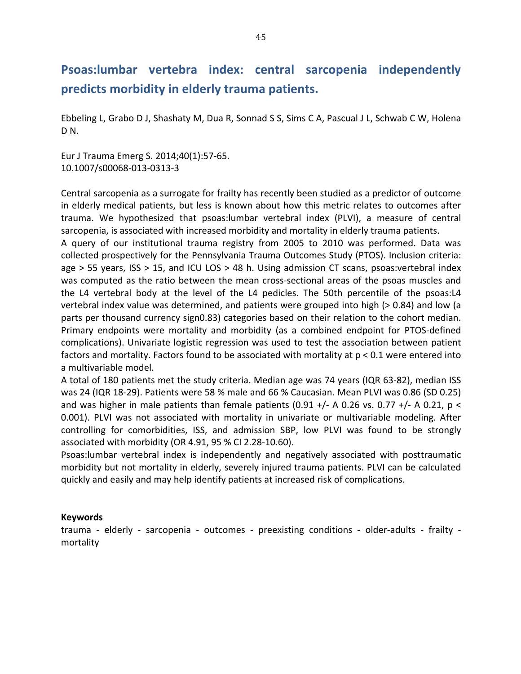## Psoas: lumbar vertebra index: central sarcopenia independently predicts morbidity in elderly trauma patients.

Ebbeling L, Grabo D J, Shashaty M, Dua R, Sonnad S S, Sims C A, Pascual J L, Schwab C W, Holena D<sub>N</sub>

Eur J Trauma Emerg S. 2014;40(1):57-65. 10.1007/s00068-013-0313-3

Central sarcopenia as a surrogate for frailty has recently been studied as a predictor of outcome in elderly medical patients, but less is known about how this metric relates to outcomes after trauma. We hypothesized that psoas: lumbar vertebral index (PLVI), a measure of central sarcopenia, is associated with increased morbidity and mortality in elderly trauma patients.

A query of our institutional trauma registry from 2005 to 2010 was performed. Data was collected prospectively for the Pennsylvania Trauma Outcomes Study (PTOS). Inclusion criteria: age  $> 55$  years, ISS  $> 15$ , and ICU LOS  $> 48$  h. Using admission CT scans, psoas:vertebral index was computed as the ratio between the mean cross-sectional areas of the psoas muscles and the L4 vertebral body at the level of the L4 pedicles. The 50th percentile of the psoas:L4 vertebral index value was determined, and patients were grouped into high (> 0.84) and low (a parts per thousand currency sign0.83) categories based on their relation to the cohort median. Primary endpoints were mortality and morbidity (as a combined endpoint for PTOS-defined complications). Univariate logistic regression was used to test the association between patient factors and mortality. Factors found to be associated with mortality at  $p < 0.1$  were entered into a multivariable model.

A total of 180 patients met the study criteria. Median age was 74 years (IQR 63-82), median ISS was 24 (IQR 18-29). Patients were 58 % male and 66 % Caucasian. Mean PLVI was 0.86 (SD 0.25) and was higher in male patients than female patients (0.91 +/- A 0.26 vs. 0.77 +/- A 0.21, p < 0.001). PLVI was not associated with mortality in univariate or multivariable modeling. After controlling for comorbidities, ISS, and admission SBP, low PLVI was found to be strongly associated with morbidity (OR 4.91, 95 % CI 2.28-10.60).

Psoas: lumbar vertebral index is independently and negatively associated with posttraumatic morbidity but not mortality in elderly, severely injured trauma patients. PLVI can be calculated quickly and easily and may help identify patients at increased risk of complications.

### **Keywords**

trauma - elderly - sarcopenia - outcomes - preexisting conditions - older-adults - frailty mortality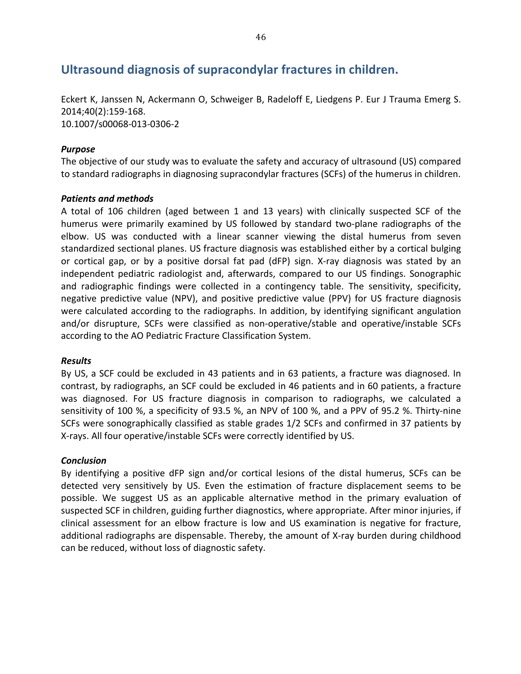### Ultrasound diagnosis of supracondylar fractures in children.

Eckert K, Janssen N, Ackermann O, Schweiger B, Radeloff E, Liedgens P. Eur J Trauma Emerg S. 2014;40(2):159-168. 10.1007/s00068-013-0306-2

### *Purpose*

The objective of our study was to evaluate the safety and accuracy of ultrasound (US) compared to standard radiographs in diagnosing supracondylar fractures (SCFs) of the humerus in children.

### **Patients and methods**

A total of 106 children (aged between 1 and 13 years) with clinically suspected SCF of the humerus were primarily examined by US followed by standard two-plane radiographs of the elbow. US was conducted with a linear scanner viewing the distal humerus from seven standardized sectional planes. US fracture diagnosis was established either by a cortical bulging or cortical gap, or by a positive dorsal fat pad (dFP) sign. X-ray diagnosis was stated by an independent pediatric radiologist and, afterwards, compared to our US findings. Sonographic and radiographic findings were collected in a contingency table. The sensitivity, specificity, negative predictive value (NPV), and positive predictive value (PPV) for US fracture diagnosis were calculated according to the radiographs. In addition, by identifying significant angulation and/or disrupture, SCFs were classified as non-operative/stable and operative/instable SCFs according to the AO Pediatric Fracture Classification System.

### *Results*

By US, a SCF could be excluded in 43 patients and in 63 patients, a fracture was diagnosed. In contrast, by radiographs, an SCF could be excluded in 46 patients and in 60 patients, a fracture was diagnosed. For US fracture diagnosis in comparison to radiographs, we calculated a sensitivity of 100 %, a specificity of 93.5 %, an NPV of 100 %, and a PPV of 95.2 %. Thirty-nine SCFs were sonographically classified as stable grades 1/2 SCFs and confirmed in 37 patients by X-rays. All four operative/instable SCFs were correctly identified by US.

### *Conclusion*

By identifying a positive dFP sign and/or cortical lesions of the distal humerus, SCFs can be detected very sensitively by US. Even the estimation of fracture displacement seems to be possible. We suggest US as an applicable alternative method in the primary evaluation of suspected SCF in children, guiding further diagnostics, where appropriate. After minor injuries, if clinical assessment for an elbow fracture is low and US examination is negative for fracture, additional radiographs are dispensable. Thereby, the amount of X-ray burden during childhood can be reduced, without loss of diagnostic safety.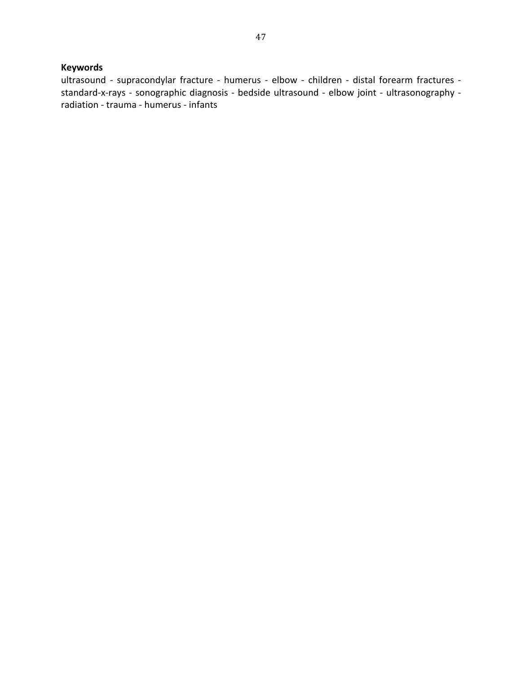### **Keywords**

ultrasound - supracondylar fracture - humerus - elbow - children - distal forearm fractures standard-x-rays - sonographic diagnosis - bedside ultrasound - elbow joint - ultrasonography radiation - trauma - humerus - infants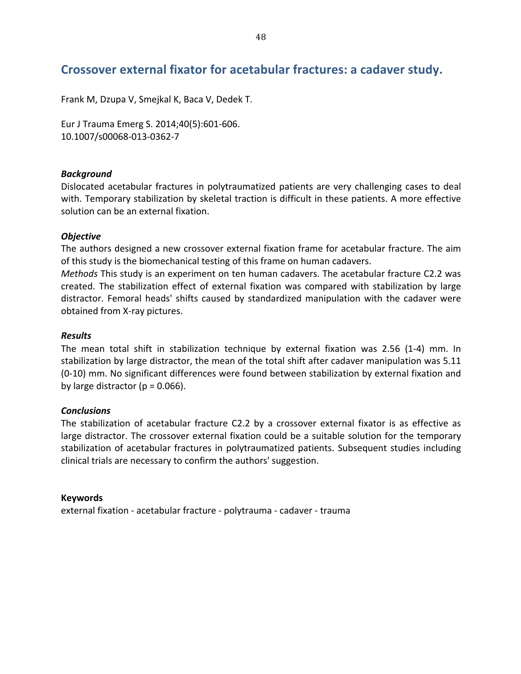### Crossover external fixator for acetabular fractures: a cadaver study.

Frank M, Dzupa V, Smejkal K, Baca V, Dedek T.

Eur J Trauma Emerg S. 2014;40(5):601-606. 10.1007/s00068-013-0362-7

### **Background**

Dislocated acetabular fractures in polytraumatized patients are very challenging cases to deal with. Temporary stabilization by skeletal traction is difficult in these patients. A more effective solution can be an external fixation.

### *Objective7*

The authors designed a new crossover external fixation frame for acetabular fracture. The aim of this study is the biomechanical testing of this frame on human cadavers.

*Methods* This study is an experiment on ten human cadavers. The acetabular fracture C2.2 was created. The stabilization effect of external fixation was compared with stabilization by large distractor. Femoral heads' shifts caused by standardized manipulation with the cadaver were obtained from X-ray pictures.

### *Results*

The mean total shift in stabilization technique by external fixation was 2.56 (1-4) mm. In stabilization by large distractor, the mean of the total shift after cadaver manipulation was 5.11 (0-10) mm. No significant differences were found between stabilization by external fixation and by large distractor ( $p = 0.066$ ).

### *Conclusions*

The stabilization of acetabular fracture C2.2 by a crossover external fixator is as effective as large distractor. The crossover external fixation could be a suitable solution for the temporary stabilization of acetabular fractures in polytraumatized patients. Subsequent studies including clinical trials are necessary to confirm the authors' suggestion.

### **Keywords**

external fixation - acetabular fracture - polytrauma - cadaver - trauma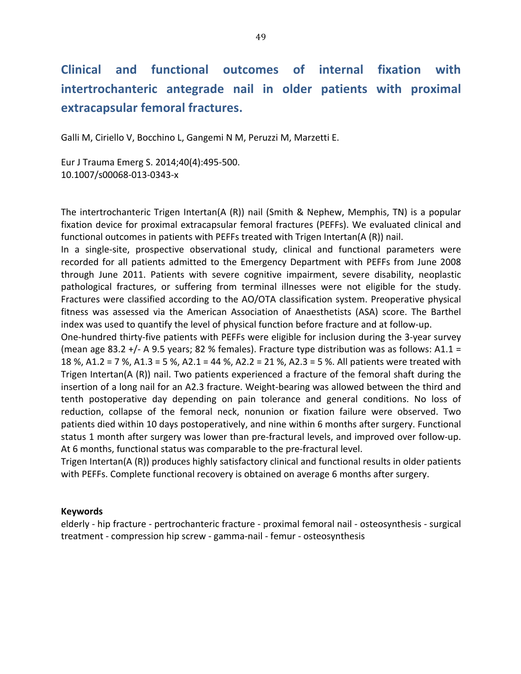# **Clinical\* and\* functional\* outcomes\* of\* internal\* fixation\* with\*** intertrochanteric antegrade nail in older patients with proximal **extracapsular femoral fractures.**

Galli M, Ciriello V, Bocchino L, Gangemi N M, Peruzzi M, Marzetti E.

Eur J Trauma Emerg S. 2014;40(4):495-500. 10.1007/s00068-013-0343-x

The intertrochanteric Trigen Intertan(A  $(R)$ ) nail (Smith & Nephew, Memphis, TN) is a popular fixation device for proximal extracapsular femoral fractures (PEFFs). We evaluated clinical and functional outcomes in patients with PEFFs treated with Trigen Intertan(A (R)) nail.

In a single-site, prospective observational study, clinical and functional parameters were recorded for all patients admitted to the Emergency Department with PEFFs from June 2008 through June 2011. Patients with severe cognitive impairment, severe disability, neoplastic pathological fractures, or suffering from terminal illnesses were not eligible for the study. Fractures were classified according to the AO/OTA classification system. Preoperative physical fitness was assessed via the American Association of Anaesthetists (ASA) score. The Barthel index was used to quantify the level of physical function before fracture and at follow-up.

One-hundred thirty-five patients with PEFFs were eligible for inclusion during the 3-year survey (mean age 83.2 +/- A 9.5 years; 82 % females). Fracture type distribution was as follows: A1.1 = 18 %, A1.2 = 7 %, A1.3 = 5 %, A2.1 = 44 %, A2.2 = 21 %, A2.3 = 5 %. All patients were treated with Trigen Intertan( $A(R)$ ) nail. Two patients experienced a fracture of the femoral shaft during the insertion of a long nail for an A2.3 fracture. Weight-bearing was allowed between the third and tenth postoperative day depending on pain tolerance and general conditions. No loss of reduction, collapse of the femoral neck, nonunion or fixation failure were observed. Two patients died within 10 days postoperatively, and nine within 6 months after surgery. Functional status 1 month after surgery was lower than pre-fractural levels, and improved over follow-up. At 6 months, functional status was comparable to the pre-fractural level.

Trigen Intertan( $A(R)$ ) produces highly satisfactory clinical and functional results in older patients with PEFFs. Complete functional recovery is obtained on average 6 months after surgery.

### **Keywords**

elderly - hip fracture - pertrochanteric fracture - proximal femoral nail - osteosynthesis - surgical treatment - compression hip screw - gamma-nail - femur - osteosynthesis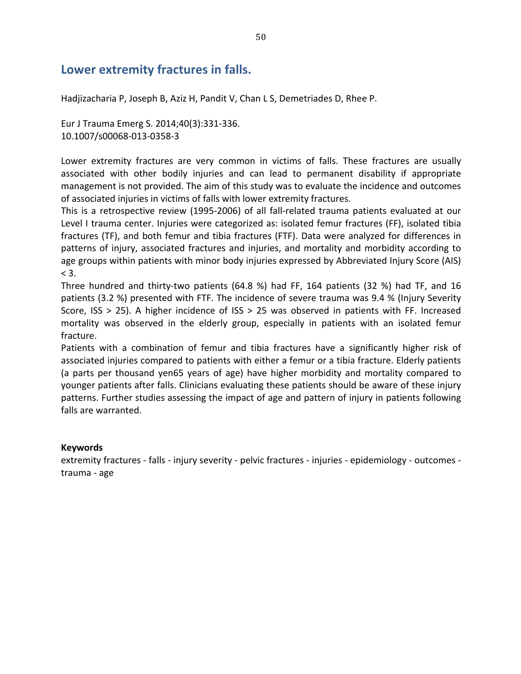### **Lower extremity fractures in falls.**

Hadjizacharia P, Joseph B, Aziz H, Pandit V, Chan L S, Demetriades D, Rhee P.

Eur J Trauma Emerg S. 2014;40(3):331-336. 10.1007/s00068-013-0358-3

Lower extremity fractures are very common in victims of falls. These fractures are usually associated with other bodily injuries and can lead to permanent disability if appropriate management is not provided. The aim of this study was to evaluate the incidence and outcomes of associated injuries in victims of falls with lower extremity fractures.

This is a retrospective review (1995-2006) of all fall-related trauma patients evaluated at our Level I trauma center. Injuries were categorized as: isolated femur fractures (FF), isolated tibia fractures (TF), and both femur and tibia fractures (FTF). Data were analyzed for differences in patterns of injury, associated fractures and injuries, and mortality and morbidity according to age groups within patients with minor body injuries expressed by Abbreviated Injury Score (AIS)  $< 3$ .

Three hundred and thirty-two patients (64.8 %) had FF, 164 patients (32 %) had TF, and 16 patients (3.2 %) presented with FTF. The incidence of severe trauma was 9.4 % (Injury Severity Score, ISS  $> 25$ ). A higher incidence of ISS  $> 25$  was observed in patients with FF. Increased mortality was observed in the elderly group, especially in patients with an isolated femur fracture.

Patients with a combination of femur and tibia fractures have a significantly higher risk of associated injuries compared to patients with either a femur or a tibia fracture. Elderly patients (a parts per thousand yen65 years of age) have higher morbidity and mortality compared to younger patients after falls. Clinicians evaluating these patients should be aware of these injury patterns. Further studies assessing the impact of age and pattern of injury in patients following falls are warranted.

### **Keywords**

extremity fractures - falls - injury severity - pelvic fractures - injuries - epidemiology - outcomes trauma - age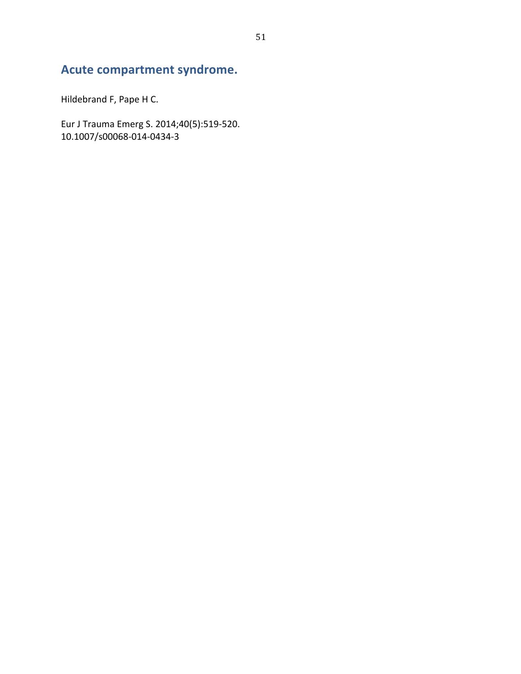## Acute compartment syndrome.

Hildebrand F, Pape H C.

Eur J Trauma Emerg S. 2014;40(5):519-520.<br>10.1007/s00068-014-0434-3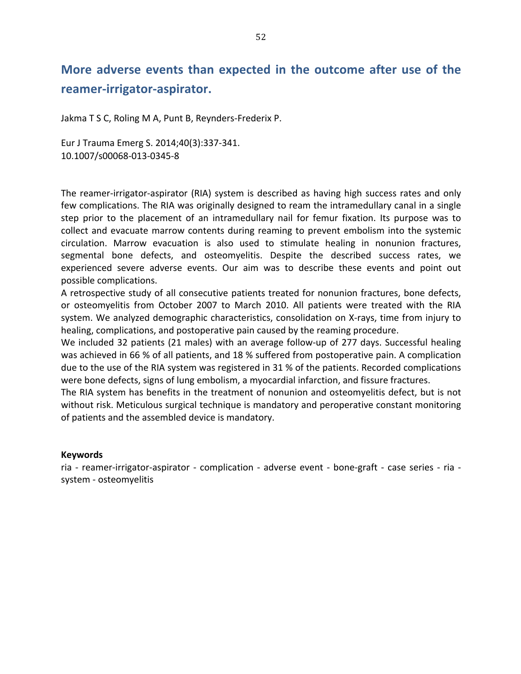## More adverse events than expected in the outcome after use of the reamer-irrigator-aspirator.

Jakma T S C, Roling M A, Punt B, Reynders-Frederix P.

Eur J Trauma Emerg S. 2014;40(3):337-341. 10.1007/s00068-013-0345-8

The reamer-irrigator-aspirator (RIA) system is described as having high success rates and only few complications. The RIA was originally designed to ream the intramedullary canal in a single step prior to the placement of an intramedullary nail for femur fixation. Its purpose was to collect and evacuate marrow contents during reaming to prevent embolism into the systemic circulation. Marrow evacuation is also used to stimulate healing in nonunion fractures, segmental bone defects, and osteomyelitis. Despite the described success rates, we experienced severe adverse events. Our aim was to describe these events and point out possible complications.

A retrospective study of all consecutive patients treated for nonunion fractures, bone defects, or osteomyelitis from October 2007 to March 2010. All patients were treated with the RIA system. We analyzed demographic characteristics, consolidation on X-rays, time from injury to healing, complications, and postoperative pain caused by the reaming procedure.

We included 32 patients (21 males) with an average follow-up of 277 days. Successful healing was achieved in 66 % of all patients, and 18 % suffered from postoperative pain. A complication due to the use of the RIA system was registered in 31 % of the patients. Recorded complications were bone defects, signs of lung embolism, a myocardial infarction, and fissure fractures.

The RIA system has benefits in the treatment of nonunion and osteomyelitis defect, but is not without risk. Meticulous surgical technique is mandatory and peroperative constant monitoring of patients and the assembled device is mandatory.

### **Keywords**

ria - reamer-irrigator-aspirator - complication - adverse event - bone-graft - case series - ria system - osteomyelitis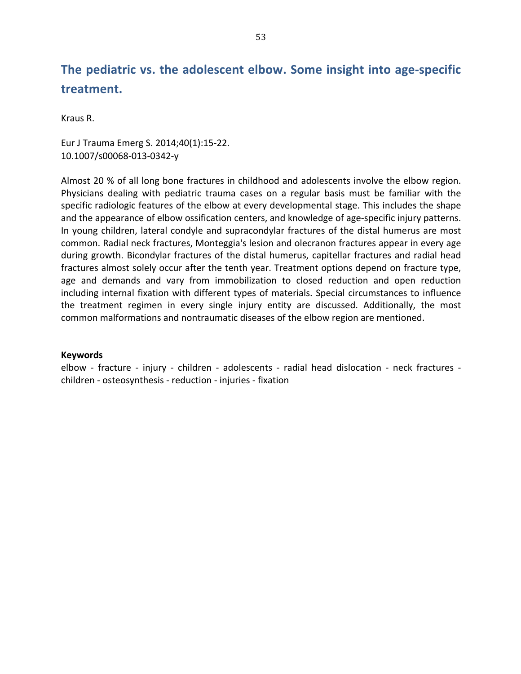## The pediatric vs. the adolescent elbow. Some insight into age-specific **treatment.**

Kraus R.

Eur J Trauma Emerg S. 2014;40(1):15-22. 10.1007/s00068-013-0342-y

Almost 20 % of all long bone fractures in childhood and adolescents involve the elbow region. Physicians dealing with pediatric trauma cases on a regular basis must be familiar with the specific radiologic features of the elbow at every developmental stage. This includes the shape and the appearance of elbow ossification centers, and knowledge of age-specific injury patterns. In young children, lateral condyle and supracondylar fractures of the distal humerus are most common. Radial neck fractures, Monteggia's lesion and olecranon fractures appear in every age during growth. Bicondylar fractures of the distal humerus, capitellar fractures and radial head fractures almost solely occur after the tenth year. Treatment options depend on fracture type, age and demands and vary from immobilization to closed reduction and open reduction including internal fixation with different types of materials. Special circumstances to influence the treatment regimen in every single injury entity are discussed. Additionally, the most common malformations and nontraumatic diseases of the elbow region are mentioned.

### **Keywords**

elbow - fracture - injury - children - adolescents - radial head dislocation - neck fractures children - osteosynthesis - reduction - injuries - fixation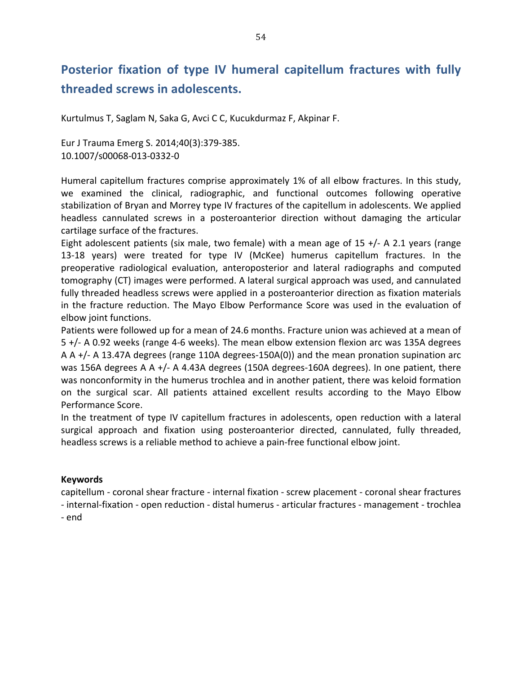# Posterior fixation of type IV humeral capitellum fractures with fully threaded screws in adolescents.

Kurtulmus T, Saglam N, Saka G, Avci C C, Kucukdurmaz F, Akpinar F.

Eur J Trauma Emerg S. 2014;40(3):379-385. 10.1007/s00068-013-0332-0

Humeral capitellum fractures comprise approximately 1% of all elbow fractures. In this study, we examined the clinical, radiographic, and functional outcomes following operative stabilization of Bryan and Morrey type IV fractures of the capitellum in adolescents. We applied headless cannulated screws in a posteroanterior direction without damaging the articular cartilage surface of the fractures.

Eight adolescent patients (six male, two female) with a mean age of 15 +/- A 2.1 years (range 13-18 years) were treated for type IV (McKee) humerus capitellum fractures. In the preoperative radiological evaluation, anteroposterior and lateral radiographs and computed tomography (CT) images were performed. A lateral surgical approach was used, and cannulated fully threaded headless screws were applied in a posteroanterior direction as fixation materials in the fracture reduction. The Mayo Elbow Performance Score was used in the evaluation of elbow joint functions.

Patients were followed up for a mean of 24.6 months. Fracture union was achieved at a mean of  $5$  +/- A 0.92 weeks (range 4-6 weeks). The mean elbow extension flexion arc was 135A degrees A  $A$  +/- A 13.47A degrees (range 110A degrees-150A(0)) and the mean pronation supination arc was 156A degrees A A  $+/-$  A 4.43A degrees (150A degrees-160A degrees). In one patient, there was nonconformity in the humerus trochlea and in another patient, there was keloid formation on the surgical scar. All patients attained excellent results according to the Mayo Elbow Performance Score.

In the treatment of type IV capitellum fractures in adolescents, open reduction with a lateral surgical approach and fixation using posteroanterior directed, cannulated, fully threaded, headless screws is a reliable method to achieve a pain-free functional elbow joint.

### **Keywords**

capitellum - coronal shear fracture - internal fixation - screw placement - coronal shear fractures - internal-fixation - open reduction - distal humerus - articular fractures - management - trochlea

- end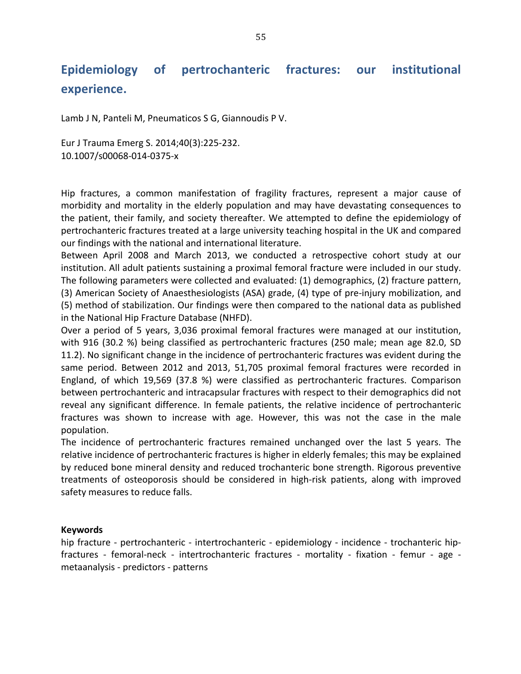# Epidemiology of pertrochanteric fractures: our institutional **experience.**

Lamb J N, Panteli M, Pneumaticos S G, Giannoudis P V.

Eur J Trauma Emerg S. 2014;40(3):225-232. 10.1007/s00068-014-0375-x

Hip fractures, a common manifestation of fragility fractures, represent a major cause of morbidity and mortality in the elderly population and may have devastating consequences to the patient, their family, and society thereafter. We attempted to define the epidemiology of pertrochanteric fractures treated at a large university teaching hospital in the UK and compared our findings with the national and international literature.

Between April 2008 and March 2013, we conducted a retrospective cohort study at our institution. All adult patients sustaining a proximal femoral fracture were included in our study. The following parameters were collected and evaluated: (1) demographics, (2) fracture pattern, (3) American Society of Anaesthesiologists (ASA) grade, (4) type of pre-injury mobilization, and (5) method of stabilization. Our findings were then compared to the national data as published in the National Hip Fracture Database (NHFD).

Over a period of 5 years, 3,036 proximal femoral fractures were managed at our institution, with 916 (30.2 %) being classified as pertrochanteric fractures (250 male; mean age 82.0, SD 11.2). No significant change in the incidence of pertrochanteric fractures was evident during the same period. Between 2012 and 2013, 51,705 proximal femoral fractures were recorded in England, of which 19,569 (37.8 %) were classified as pertrochanteric fractures. Comparison between pertrochanteric and intracapsular fractures with respect to their demographics did not reveal any significant difference. In female patients, the relative incidence of pertrochanteric fractures was shown to increase with age. However, this was not the case in the male population.

The incidence of pertrochanteric fractures remained unchanged over the last 5 years. The relative incidence of pertrochanteric fractures is higher in elderly females; this may be explained by reduced bone mineral density and reduced trochanteric bone strength. Rigorous preventive treatments of osteoporosis should be considered in high-risk patients, along with improved safety measures to reduce falls.

### **Keywords**

hip fracture - pertrochanteric - intertrochanteric - epidemiology - incidence - trochanteric hipfractures - femoral-neck - intertrochanteric fractures - mortality - fixation - femur - age metaanalysis - predictors - patterns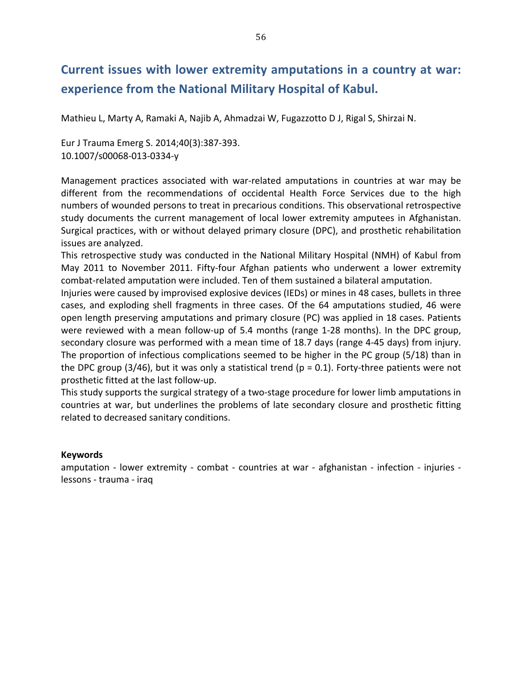## **Current issues with lower extremity amputations in a country at war:** experience from the National Military Hospital of Kabul.

Mathieu L, Marty A, Ramaki A, Najib A, Ahmadzai W, Fugazzotto D J, Rigal S, Shirzai N.

Eur J Trauma Emerg S. 2014;40(3):387-393. 10.1007/s00068-013-0334-y

Management practices associated with war-related amputations in countries at war may be different from the recommendations of occidental Health Force Services due to the high numbers of wounded persons to treat in precarious conditions. This observational retrospective study documents the current management of local lower extremity amputees in Afghanistan. Surgical practices, with or without delayed primary closure (DPC), and prosthetic rehabilitation issues are analyzed.

This retrospective study was conducted in the National Military Hospital (NMH) of Kabul from May 2011 to November 2011. Fifty-four Afghan patients who underwent a lower extremity combat-related amputation were included. Ten of them sustained a bilateral amputation.

Injuries were caused by improvised explosive devices (IEDs) or mines in 48 cases, bullets in three cases, and exploding shell fragments in three cases. Of the 64 amputations studied, 46 were open length preserving amputations and primary closure (PC) was applied in 18 cases. Patients were reviewed with a mean follow-up of 5.4 months (range 1-28 months). In the DPC group, secondary closure was performed with a mean time of 18.7 days (range 4-45 days) from injury. The proportion of infectious complications seemed to be higher in the PC group (5/18) than in the DPC group (3/46), but it was only a statistical trend ( $p = 0.1$ ). Forty-three patients were not prosthetic fitted at the last follow-up.

This study supports the surgical strategy of a two-stage procedure for lower limb amputations in countries at war, but underlines the problems of late secondary closure and prosthetic fitting related to decreased sanitary conditions.

### **Keywords**

amputation - lower extremity - combat - countries at war - afghanistan - infection - injuries lessons - trauma - iraq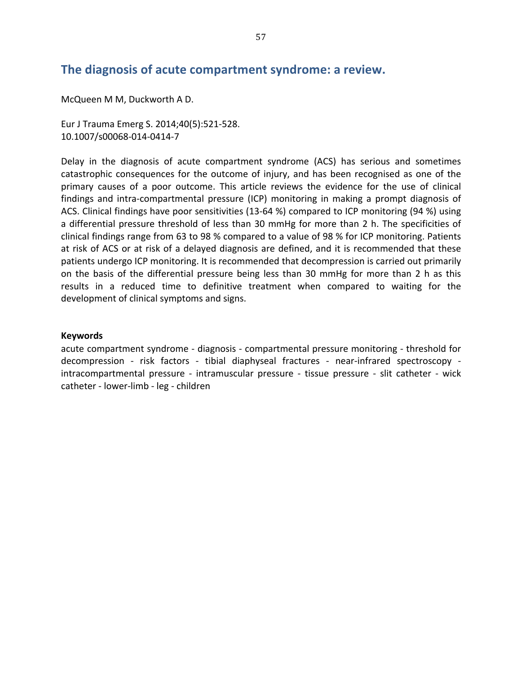### The diagnosis of acute compartment syndrome: a review.

McQueen M M, Duckworth A D.

Eur J Trauma Emerg S. 2014;40(5):521-528. 10.1007/s00068-014-0414-7

Delay in the diagnosis of acute compartment syndrome (ACS) has serious and sometimes catastrophic consequences for the outcome of injury, and has been recognised as one of the primary causes of a poor outcome. This article reviews the evidence for the use of clinical findings and intra-compartmental pressure (ICP) monitoring in making a prompt diagnosis of ACS. Clinical findings have poor sensitivities (13-64 %) compared to ICP monitoring (94 %) using a differential pressure threshold of less than 30 mmHg for more than 2 h. The specificities of clinical findings range from 63 to 98 % compared to a value of 98 % for ICP monitoring. Patients at risk of ACS or at risk of a delayed diagnosis are defined, and it is recommended that these patients undergo ICP monitoring. It is recommended that decompression is carried out primarily on the basis of the differential pressure being less than 30 mmHg for more than 2 h as this results in a reduced time to definitive treatment when compared to waiting for the development of clinical symptoms and signs.

### **Keywords**

acute compartment syndrome - diagnosis - compartmental pressure monitoring - threshold for decompression - risk factors - tibial diaphyseal fractures - near-infrared spectroscopy intracompartmental pressure - intramuscular pressure - tissue pressure - slit catheter - wick catheter - lower-limb - leg - children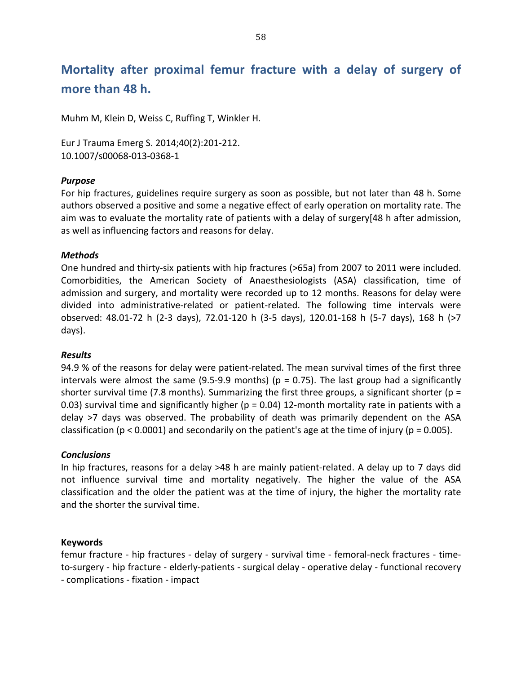## Mortality after proximal femur fracture with a delay of surgery of more than 48 h.

Muhm M, Klein D, Weiss C, Ruffing T, Winkler H.

Eur J Trauma Emerg S. 2014;40(2):201-212. 10.1007/s00068-013-0368-1

### *Purpose*

For hip fractures, guidelines require surgery as soon as possible, but not later than 48 h. Some authors observed a positive and some a negative effect of early operation on mortality rate. The aim was to evaluate the mortality rate of patients with a delay of surgery[48 h after admission, as well as influencing factors and reasons for delay.

### *Methods*

One hundred and thirty-six patients with hip fractures (>65a) from 2007 to 2011 were included. Comorbidities, the American Society of Anaesthesiologists (ASA) classification, time of admission and surgery, and mortality were recorded up to 12 months. Reasons for delay were divided into administrative-related or patient-related. The following time intervals were observed: 48.01-72 h (2-3 days), 72.01-120 h (3-5 days), 120.01-168 h (5-7 days), 168 h (>7 days).

### *Results*

94.9 % of the reasons for delay were patient-related. The mean survival times of the first three intervals were almost the same (9.5-9.9 months) ( $p = 0.75$ ). The last group had a significantly shorter survival time (7.8 months). Summarizing the first three groups, a significant shorter (p = 0.03) survival time and significantly higher (p = 0.04) 12-month mortality rate in patients with a delay >7 days was observed. The probability of death was primarily dependent on the ASA classification (p < 0.0001) and secondarily on the patient's age at the time of injury (p = 0.005).

### *Conclusions*

In hip fractures, reasons for a delay >48 h are mainly patient-related. A delay up to 7 days did not influence survival time and mortality negatively. The higher the value of the ASA classification and the older the patient was at the time of injury, the higher the mortality rate and the shorter the survival time.

### **Keywords**

femur fracture - hip fractures - delay of surgery - survival time - femoral-neck fractures - timeto-surgery - hip fracture - elderly-patients - surgical delay - operative delay - functional recovery - complications - fixation - impact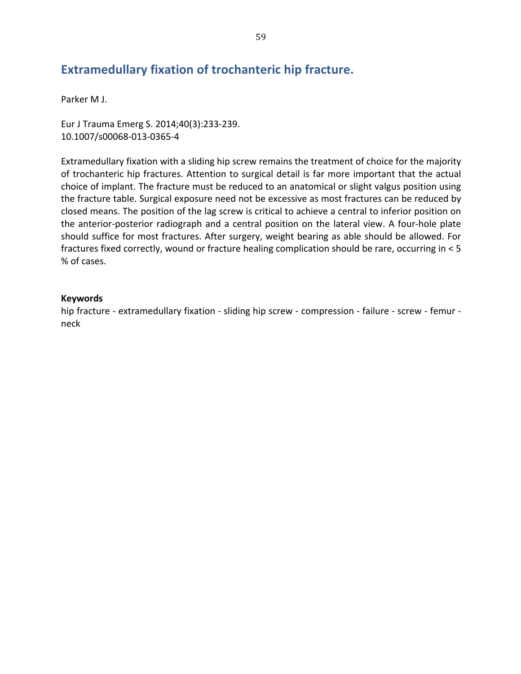## **Extramedullary fixation of trochanteric hip fracture.**

Parker M J.

Eur J Trauma Emerg S. 2014;40(3):233-239. 10.1007/s00068-013-0365-4

Extramedullary fixation with a sliding hip screw remains the treatment of choice for the majority of trochanteric hip fractures. Attention to surgical detail is far more important that the actual choice of implant. The fracture must be reduced to an anatomical or slight valgus position using the fracture table. Surgical exposure need not be excessive as most fractures can be reduced by closed means. The position of the lag screw is critical to achieve a central to inferior position on the anterior-posterior radiograph and a central position on the lateral view. A four-hole plate should suffice for most fractures. After surgery, weight bearing as able should be allowed. For fractures fixed correctly, wound or fracture healing complication should be rare, occurring in  $<$  5 % of cases.

### **Keywords**

hip fracture - extramedullary fixation - sliding hip screw - compression - failure - screw - femur neck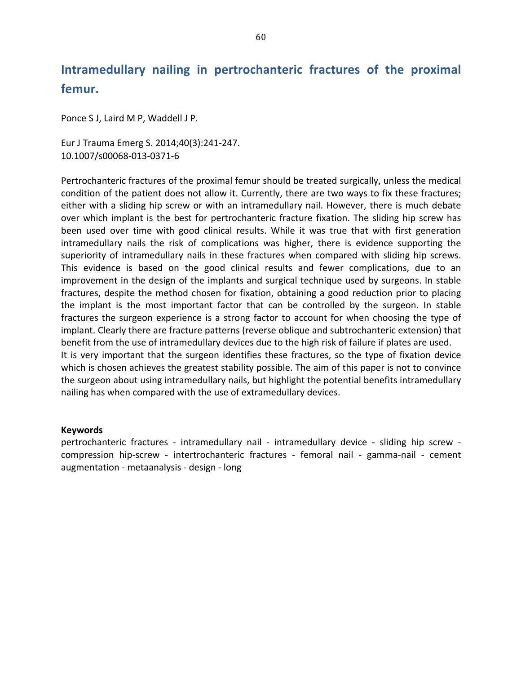# Intramedullary nailing in pertrochanteric fractures of the proximal femur.

Ponce S J, Laird M P, Waddell J P.

Eur J Trauma Emerg S. 2014;40(3):241-247. 10.1007/s00068-013-0371-6

Pertrochanteric fractures of the proximal femur should be treated surgically, unless the medical condition of the patient does not allow it. Currently, there are two ways to fix these fractures; either with a sliding hip screw or with an intramedullary nail. However, there is much debate over which implant is the best for pertrochanteric fracture fixation. The sliding hip screw has been used over time with good clinical results. While it was true that with first generation intramedullary nails the risk of complications was higher, there is evidence supporting the superiority of intramedullary nails in these fractures when compared with sliding hip screws. This evidence is based on the good clinical results and fewer complications, due to an improvement in the design of the implants and surgical technique used by surgeons. In stable fractures, despite the method chosen for fixation, obtaining a good reduction prior to placing the implant is the most important factor that can be controlled by the surgeon. In stable fractures the surgeon experience is a strong factor to account for when choosing the type of implant. Clearly there are fracture patterns (reverse oblique and subtrochanteric extension) that benefit from the use of intramedullary devices due to the high risk of failure if plates are used. It is very important that the surgeon identifies these fractures, so the type of fixation device which is chosen achieves the greatest stability possible. The aim of this paper is not to convince the surgeon about using intramedullary nails, but highlight the potential benefits intramedullary nailing has when compared with the use of extramedullary devices.

### **Keywords**

pertrochanteric fractures - intramedullary nail - intramedullary device - sliding hip screw compression hip-screw - intertrochanteric fractures - femoral nail - gamma-nail - cement augmentation - metaanalysis - design - long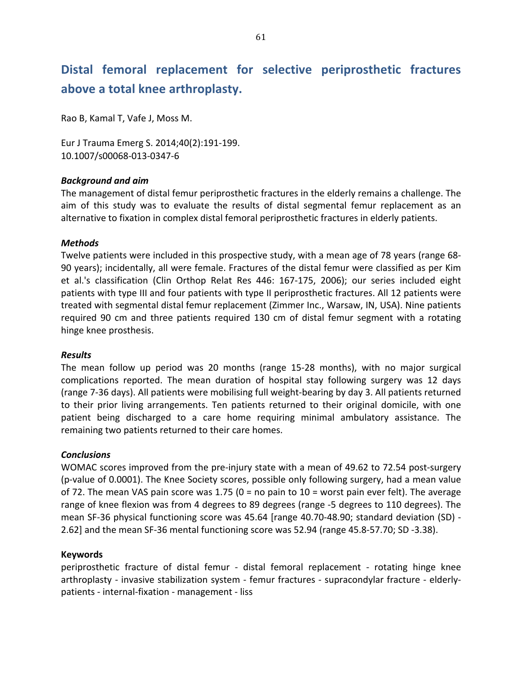## Distal femoral replacement for selective periprosthetic fractures above a total knee arthroplasty.

Rao B, Kamal T, Vafe J, Moss M.

Eur J Trauma Emerg S. 2014;40(2):191-199. 10.1007/s00068-013-0347-6

### **Background and aim**

The management of distal femur periprosthetic fractures in the elderly remains a challenge. The aim of this study was to evaluate the results of distal segmental femur replacement as an alternative to fixation in complex distal femoral periprosthetic fractures in elderly patients.

### *Methods*

Twelve patients were included in this prospective study, with a mean age of 78 years (range 68-90 years); incidentally, all were female. Fractures of the distal femur were classified as per Kim et al.'s classification (Clin Orthop Relat Res 446: 167-175, 2006); our series included eight patients with type III and four patients with type II periprosthetic fractures. All 12 patients were treated with segmental distal femur replacement (Zimmer Inc., Warsaw, IN, USA). Nine patients required 90 cm and three patients required 130 cm of distal femur segment with a rotating hinge knee prosthesis.

### *Results*

The mean follow up period was 20 months (range 15-28 months), with no major surgical complications reported. The mean duration of hospital stay following surgery was 12 days (range 7-36 days). All patients were mobilising full weight-bearing by day 3. All patients returned to their prior living arrangements. Ten patients returned to their original domicile, with one patient being discharged to a care home requiring minimal ambulatory assistance. The remaining two patients returned to their care homes.

### *Conclusions*

WOMAC scores improved from the pre-injury state with a mean of 49.62 to 72.54 post-surgery (p-value of 0.0001). The Knee Society scores, possible only following surgery, had a mean value of 72. The mean VAS pain score was 1.75 (0 = no pain to  $10$  = worst pain ever felt). The average range of knee flexion was from 4 degrees to 89 degrees (range -5 degrees to 110 degrees). The mean SF-36 physical functioning score was 45.64 [range 40.70-48.90; standard deviation (SD) -2.62] and the mean SF-36 mental functioning score was  $52.94$  (range  $45.8$ -57.70; SD -3.38).

### **Keywords**

periprosthetic fracture of distal femur - distal femoral replacement - rotating hinge knee arthroplasty - invasive stabilization system - femur fractures - supracondylar fracture - elderlypatients - internal-fixation - management - liss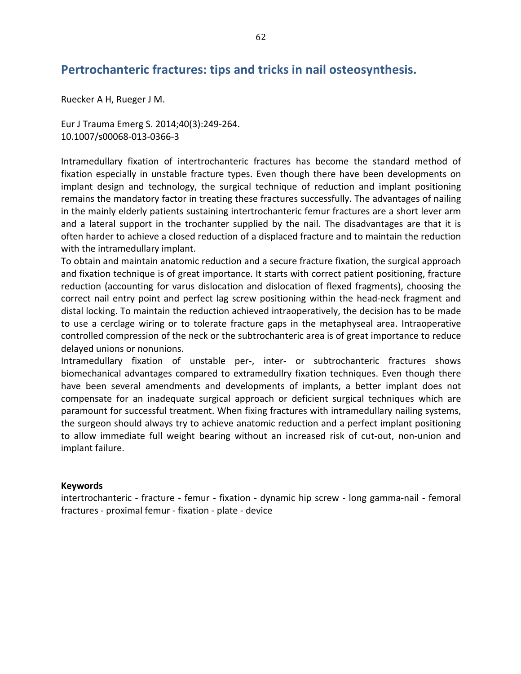### Pertrochanteric fractures: tips and tricks in nail osteosynthesis.

Ruecker A H, Rueger J M.

Eur J Trauma Emerg S. 2014;40(3):249-264. 10.1007/s00068-013-0366-3

Intramedullary fixation of intertrochanteric fractures has become the standard method of fixation especially in unstable fracture types. Even though there have been developments on implant design and technology, the surgical technique of reduction and implant positioning remains the mandatory factor in treating these fractures successfully. The advantages of nailing in the mainly elderly patients sustaining intertrochanteric femur fractures are a short lever arm and a lateral support in the trochanter supplied by the nail. The disadvantages are that it is often harder to achieve a closed reduction of a displaced fracture and to maintain the reduction with the intramedullary implant.

To obtain and maintain anatomic reduction and a secure fracture fixation, the surgical approach and fixation technique is of great importance. It starts with correct patient positioning, fracture reduction (accounting for varus dislocation and dislocation of flexed fragments), choosing the correct nail entry point and perfect lag screw positioning within the head-neck fragment and distal locking. To maintain the reduction achieved intraoperatively, the decision has to be made to use a cerclage wiring or to tolerate fracture gaps in the metaphyseal area. Intraoperative controlled compression of the neck or the subtrochanteric area is of great importance to reduce delayed unions or nonunions.

Intramedullary fixation of unstable per-, inter- or subtrochanteric fractures shows biomechanical advantages compared to extramedullry fixation techniques. Even though there have been several amendments and developments of implants, a better implant does not compensate for an inadequate surgical approach or deficient surgical techniques which are paramount for successful treatment. When fixing fractures with intramedullary nailing systems, the surgeon should always try to achieve anatomic reduction and a perfect implant positioning to allow immediate full weight bearing without an increased risk of cut-out, non-union and implant failure.

### **Keywords**

intertrochanteric - fracture - femur - fixation - dynamic hip screw - long gamma-nail - femoral fractures - proximal femur - fixation - plate - device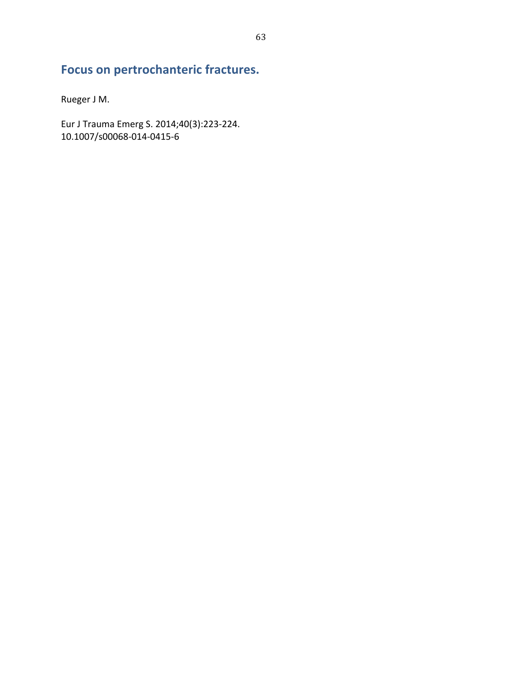## Focus on pertrochanteric fractures.

Rueger J M.

Eur J Trauma Emerg S. 2014;40(3):223-224.<br>10.1007/s00068-014-0415-6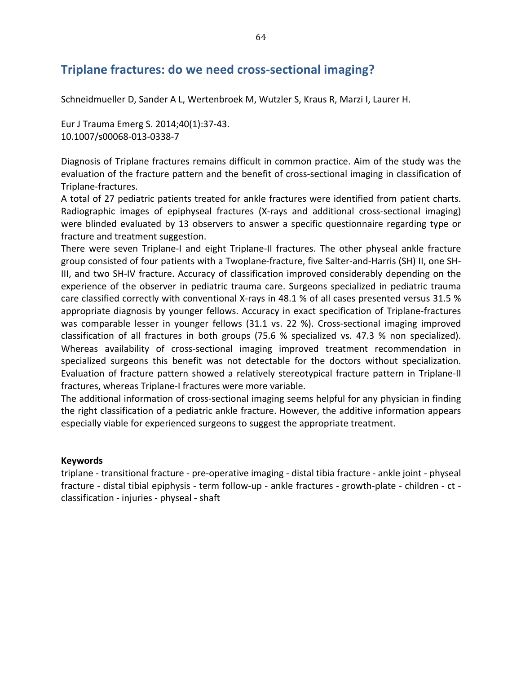### Triplane fractures: do we need cross-sectional imaging?

Schneidmueller D, Sander A L, Wertenbroek M, Wutzler S, Kraus R, Marzi I, Laurer H.

Eur J Trauma Emerg S. 2014;40(1):37-43. 10.1007/s00068-013-0338-7

Diagnosis of Triplane fractures remains difficult in common practice. Aim of the study was the evaluation of the fracture pattern and the benefit of cross-sectional imaging in classification of Triplane-fractures.

A total of 27 pediatric patients treated for ankle fractures were identified from patient charts. Radiographic images of epiphyseal fractures (X-rays and additional cross-sectional imaging) were blinded evaluated by 13 observers to answer a specific questionnaire regarding type or fracture and treatment suggestion.

There were seven Triplane-I and eight Triplane-II fractures. The other physeal ankle fracture group consisted of four patients with a Twoplane-fracture, five Salter-and-Harris (SH) II, one SH-III, and two SH-IV fracture. Accuracy of classification improved considerably depending on the experience of the observer in pediatric trauma care. Surgeons specialized in pediatric trauma care classified correctly with conventional X-rays in 48.1 % of all cases presented versus 31.5 % appropriate diagnosis by younger fellows. Accuracy in exact specification of Triplane-fractures was comparable lesser in younger fellows (31.1 vs. 22 %). Cross-sectional imaging improved classification of all fractures in both groups (75.6 % specialized vs. 47.3 % non specialized). Whereas availability of cross-sectional imaging improved treatment recommendation in specialized surgeons this benefit was not detectable for the doctors without specialization. Evaluation of fracture pattern showed a relatively stereotypical fracture pattern in Triplane-II fractures, whereas Triplane-I fractures were more variable.

The additional information of cross-sectional imaging seems helpful for any physician in finding the right classification of a pediatric ankle fracture. However, the additive information appears especially viable for experienced surgeons to suggest the appropriate treatment.

### **Keywords**

triplane - transitional fracture - pre-operative imaging - distal tibia fracture - ankle joint - physeal fracture - distal tibial epiphysis - term follow-up - ankle fractures - growth-plate - children - ct classification - injuries - physeal - shaft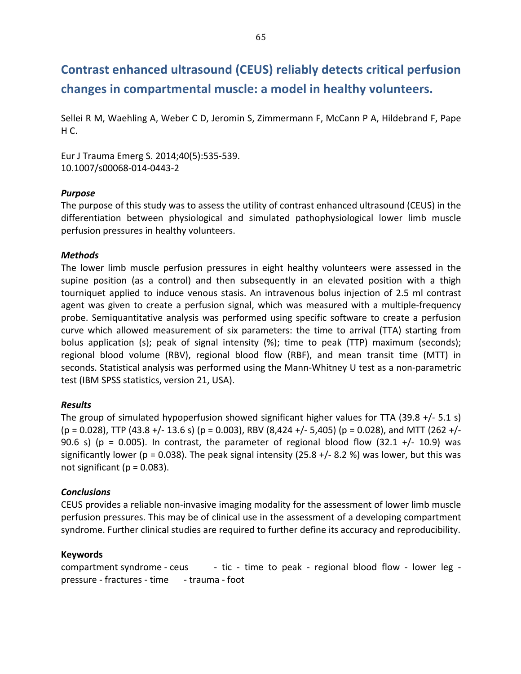# **Contrast enhanced ultrasound (CEUS) reliably detects critical perfusion** changes in compartmental muscle: a model in healthy volunteers.

Sellei R M, Waehling A, Weber C D, Jeromin S, Zimmermann F, McCann P A, Hildebrand F, Pape  $H C.$ 

Eur J Trauma Emerg S. 2014;40(5):535-539. 10.1007/s00068-014-0443-2

### *Purpose*

The purpose of this study was to assess the utility of contrast enhanced ultrasound (CEUS) in the differentiation between physiological and simulated pathophysiological lower limb muscle perfusion pressures in healthy volunteers.

### *Methods*

The lower limb muscle perfusion pressures in eight healthy volunteers were assessed in the supine position (as a control) and then subsequently in an elevated position with a thigh tourniquet applied to induce venous stasis. An intravenous bolus injection of 2.5 ml contrast agent was given to create a perfusion signal, which was measured with a multiple-frequency probe. Semiquantitative analysis was performed using specific software to create a perfusion curve which allowed measurement of six parameters: the time to arrival (TTA) starting from bolus application (s); peak of signal intensity  $%$ ; time to peak (TTP) maximum (seconds); regional blood volume (RBV), regional blood flow (RBF), and mean transit time (MTT) in seconds. Statistical analysis was performed using the Mann-Whitney U test as a non-parametric test (IBM SPSS statistics, version 21, USA).

### *Results*

The group of simulated hypoperfusion showed significant higher values for TTA (39.8 +/- 5.1 s)  $(p = 0.028)$ , TTP (43.8 +/- 13.6 s) (p = 0.003), RBV (8,424 +/- 5,405) (p = 0.028), and MTT (262 +/-90.6 s) (p = 0.005). In contrast, the parameter of regional blood flow  $(32.1 +/- 10.9)$  was significantly lower (p = 0.038). The peak signal intensity (25.8 +/- 8.2 %) was lower, but this was not significant ( $p = 0.083$ ).

### *Conclusions*

CEUS provides a reliable non-invasive imaging modality for the assessment of lower limb muscle perfusion pressures. This may be of clinical use in the assessment of a developing compartment syndrome. Further clinical studies are required to further define its accuracy and reproducibility.

### **Keywords**

compartment syndrome - ceus  $\qquad$  - tic - time to peak - regional blood flow - lower leg pressure - fractures - time - trauma - foot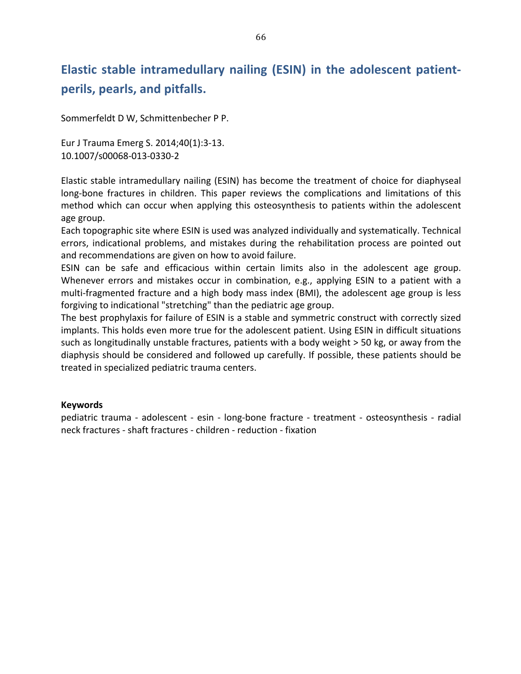# **Elastic stable intramedullary nailing (ESIN) in the adolescent patientperils,\*pearls,\*and\*pitfalls.**

Sommerfeldt D W, Schmittenbecher P P.

Eur J Trauma Emerg S. 2014;40(1):3-13. 10.1007/s00068-013-0330-2

Elastic stable intramedullary nailing (ESIN) has become the treatment of choice for diaphyseal long-bone fractures in children. This paper reviews the complications and limitations of this method which can occur when applying this osteosynthesis to patients within the adolescent age group.

Each topographic site where ESIN is used was analyzed individually and systematically. Technical errors, indicational problems, and mistakes during the rehabilitation process are pointed out and recommendations are given on how to avoid failure.

ESIN can be safe and efficacious within certain limits also in the adolescent age group. Whenever errors and mistakes occur in combination, e.g., applying ESIN to a patient with a multi-fragmented fracture and a high body mass index (BMI), the adolescent age group is less forgiving to indicational "stretching" than the pediatric age group.

The best prophylaxis for failure of ESIN is a stable and symmetric construct with correctly sized implants. This holds even more true for the adolescent patient. Using ESIN in difficult situations such as longitudinally unstable fractures, patients with a body weight  $>$  50 kg, or away from the diaphysis should be considered and followed up carefully. If possible, these patients should be treated in specialized pediatric trauma centers.

### **Keywords**

pediatric trauma - adolescent - esin - long-bone fracture - treatment - osteosynthesis - radial neck fractures - shaft fractures - children - reduction - fixation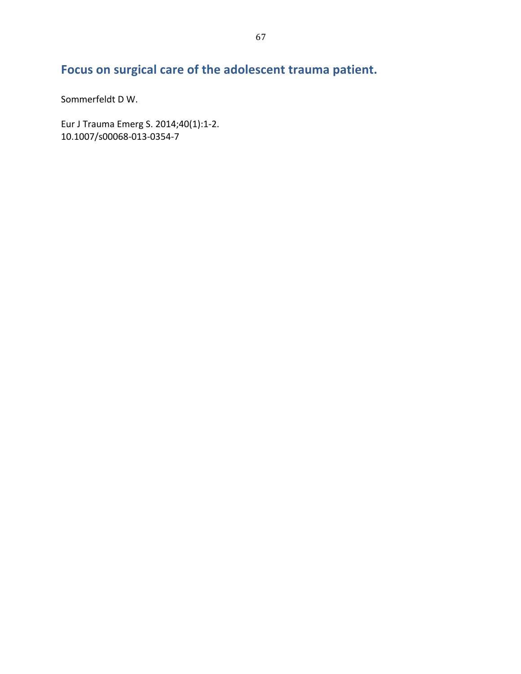# Focus on surgical care of the adolescent trauma patient.

Sommerfeldt D W.

Eur J Trauma Emerg S. 2014;40(1):1-2. 10.1007/s00068-013-0354-7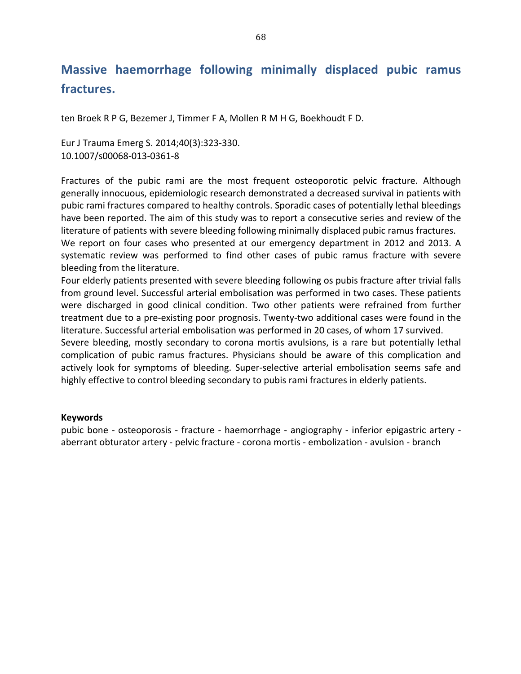## **Massive\* haemorrhage\* following\* minimally\* displaced\* pubic\* ramus\* fractures.**

ten Broek R P G, Bezemer J, Timmer F A, Mollen R M H G, Boekhoudt F D.

Eur J Trauma Emerg S. 2014;40(3):323-330. 10.1007/s00068-013-0361-8

Fractures of the pubic rami are the most frequent osteoporotic pelvic fracture. Although generally innocuous, epidemiologic research demonstrated a decreased survival in patients with pubic rami fractures compared to healthy controls. Sporadic cases of potentially lethal bleedings have been reported. The aim of this study was to report a consecutive series and review of the literature of patients with severe bleeding following minimally displaced pubic ramus fractures. We report on four cases who presented at our emergency department in 2012 and 2013. A systematic review was performed to find other cases of pubic ramus fracture with severe

bleeding from the literature.

Four elderly patients presented with severe bleeding following os pubis fracture after trivial falls from ground level. Successful arterial embolisation was performed in two cases. These patients were discharged in good clinical condition. Two other patients were refrained from further treatment due to a pre-existing poor prognosis. Twenty-two additional cases were found in the literature. Successful arterial embolisation was performed in 20 cases, of whom 17 survived.

Severe bleeding, mostly secondary to corona mortis avulsions, is a rare but potentially lethal complication of pubic ramus fractures. Physicians should be aware of this complication and actively look for symptoms of bleeding. Super-selective arterial embolisation seems safe and highly effective to control bleeding secondary to pubis rami fractures in elderly patients.

### **Keywords**

pubic bone - osteoporosis - fracture - haemorrhage - angiography - inferior epigastric artery aberrant obturator artery - pelvic fracture - corona mortis - embolization - avulsion - branch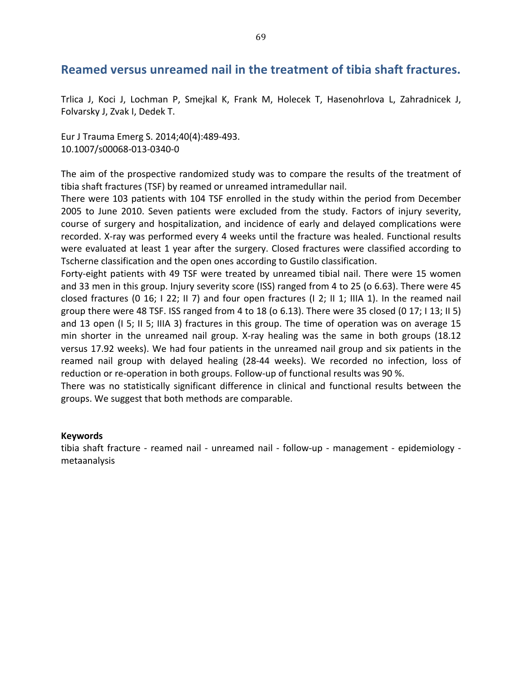### **Reamed versus unreamed nail in the treatment of tibia shaft fractures.**

Trlica J, Koci J, Lochman P, Smejkal K, Frank M, Holecek T, Hasenohrlova L, Zahradnicek J, Folvarsky J, Zvak I, Dedek T.

Eur J Trauma Emerg S. 2014;40(4):489-493. 10.1007/s00068-013-0340-0

The aim of the prospective randomized study was to compare the results of the treatment of tibia shaft fractures (TSF) by reamed or unreamed intramedullar nail.

There were 103 patients with 104 TSF enrolled in the study within the period from December 2005 to June 2010. Seven patients were excluded from the study. Factors of injury severity, course of surgery and hospitalization, and incidence of early and delayed complications were recorded. X-ray was performed every 4 weeks until the fracture was healed. Functional results were evaluated at least 1 year after the surgery. Closed fractures were classified according to Tscherne classification and the open ones according to Gustilo classification.

Forty-eight patients with 49 TSF were treated by unreamed tibial nail. There were 15 women and 33 men in this group. Injury severity score (ISS) ranged from 4 to 25 (o 6.63). There were 45 closed fractures (0 16; I 22; II 7) and four open fractures (I 2; II 1; IIIA 1). In the reamed nail group there were 48 TSF. ISS ranged from 4 to 18 (o 6.13). There were 35 closed (0 17; I 13; II 5) and 13 open (I 5; II 5; IIIA 3) fractures in this group. The time of operation was on average 15 min shorter in the unreamed nail group. X-ray healing was the same in both groups (18.12 versus 17.92 weeks). We had four patients in the unreamed nail group and six patients in the reamed nail group with delayed healing (28-44 weeks). We recorded no infection, loss of reduction or re-operation in both groups. Follow-up of functional results was 90 %.

There was no statistically significant difference in clinical and functional results between the groups. We suggest that both methods are comparable.

### **Keywords**

tibia shaft fracture - reamed nail - unreamed nail - follow-up - management - epidemiology metaanalysis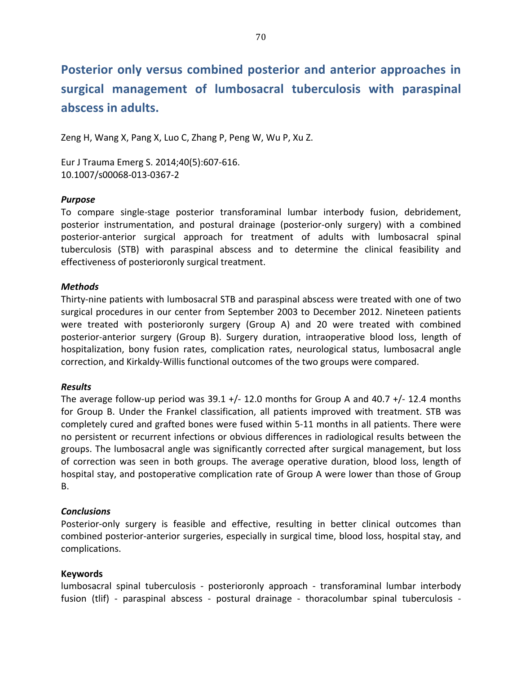# Posterior only versus combined posterior and anterior approaches in surgical management of lumbosacral tuberculosis with paraspinal abscess in adults.

Zeng H, Wang X, Pang X, Luo C, Zhang P, Peng W, Wu P, Xu Z.

Eur J Trauma Emerg S. 2014;40(5):607-616. 10.1007/s00068-013-0367-2

### *Purpose*

To compare single-stage posterior transforaminal lumbar interbody fusion, debridement, posterior instrumentation, and postural drainage (posterior-only surgery) with a combined posterior-anterior surgical approach for treatment of adults with lumbosacral spinal tuberculosis (STB) with paraspinal abscess and to determine the clinical feasibility and effectiveness of posterioronly surgical treatment.

### *Methods*

Thirty-nine patients with lumbosacral STB and paraspinal abscess were treated with one of two surgical procedures in our center from September 2003 to December 2012. Nineteen patients were treated with posterioronly surgery (Group A) and 20 were treated with combined posterior-anterior surgery (Group B). Surgery duration, intraoperative blood loss, length of hospitalization, bony fusion rates, complication rates, neurological status, lumbosacral angle correction, and Kirkaldy-Willis functional outcomes of the two groups were compared.

### *Results*

The average follow-up period was  $39.1 +/-12.0$  months for Group A and  $40.7 +/-12.4$  months for Group B. Under the Frankel classification, all patients improved with treatment. STB was completely cured and grafted bones were fused within 5-11 months in all patients. There were no persistent or recurrent infections or obvious differences in radiological results between the groups. The lumbosacral angle was significantly corrected after surgical management, but loss of correction was seen in both groups. The average operative duration, blood loss, length of hospital stay, and postoperative complication rate of Group A were lower than those of Group B.

### *Conclusions*

Posterior-only surgery is feasible and effective, resulting in better clinical outcomes than combined posterior-anterior surgeries, especially in surgical time, blood loss, hospital stay, and complications.

### **Keywords**

lumbosacral spinal tuberculosis - posterioronly approach - transforaminal lumbar interbody fusion (tlif) - paraspinal abscess - postural drainage - thoracolumbar spinal tuberculosis -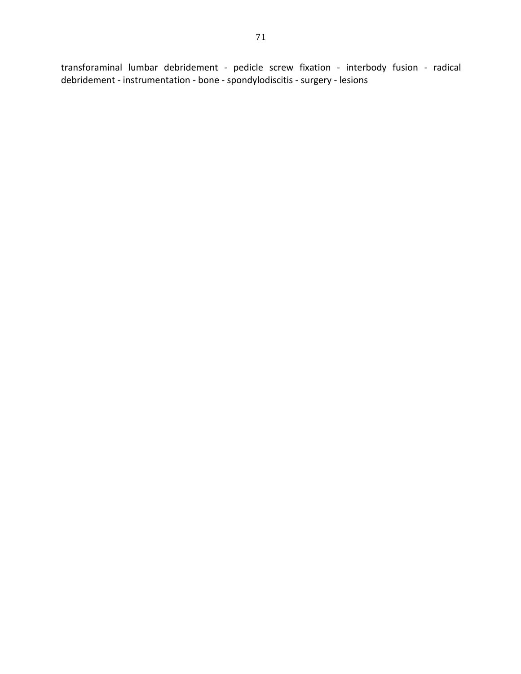transforaminal lumbar debridement - pedicle screw fixation - interbody fusion - radical debridement - instrumentation - bone - spondylodiscitis - surgery - lesions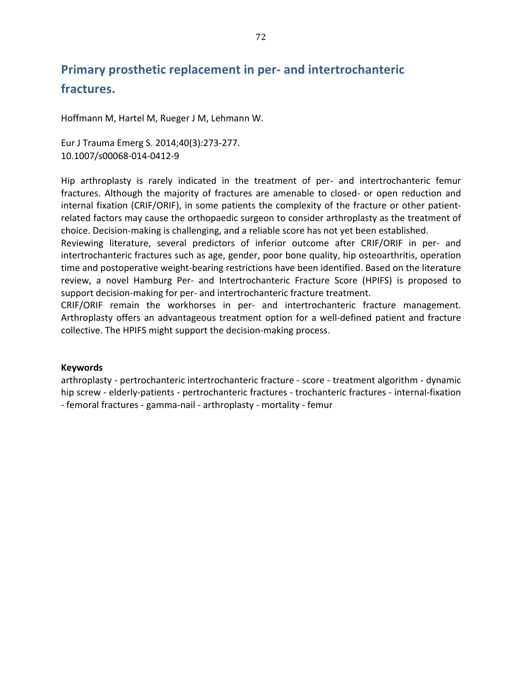## Primary prosthetic replacement in per- and intertrochanteric fractures.

Hoffmann M, Hartel M, Rueger J M, Lehmann W.

Eur J Trauma Emerg S. 2014;40(3):273-277. 10.1007/s00068-014-0412-9

Hip arthroplasty is rarely indicated in the treatment of per- and intertrochanteric femur fractures. Although the majority of fractures are amenable to closed- or open reduction and internal fixation (CRIF/ORIF), in some patients the complexity of the fracture or other patientrelated factors may cause the orthopaedic surgeon to consider arthroplasty as the treatment of choice. Decision-making is challenging, and a reliable score has not yet been established.

Reviewing literature, several predictors of inferior outcome after CRIF/ORIF in per- and intertrochanteric fractures such as age, gender, poor bone quality, hip osteoarthritis, operation time and postoperative weight-bearing restrictions have been identified. Based on the literature review, a novel Hamburg Per- and Intertrochanteric Fracture Score (HPIFS) is proposed to support decision-making for per- and intertrochanteric fracture treatment.

CRIF/ORIF remain the workhorses in per- and intertrochanteric fracture management. Arthroplasty offers an advantageous treatment option for a well-defined patient and fracture collective. The HPIFS might support the decision-making process.

### **Keywords**

arthroplasty - pertrochanteric intertrochanteric fracture - score - treatment algorithm - dynamic hip screw - elderly-patients - pertrochanteric fractures - trochanteric fractures - internal-fixation - femoral fractures - gamma-nail - arthroplasty - mortality - femur